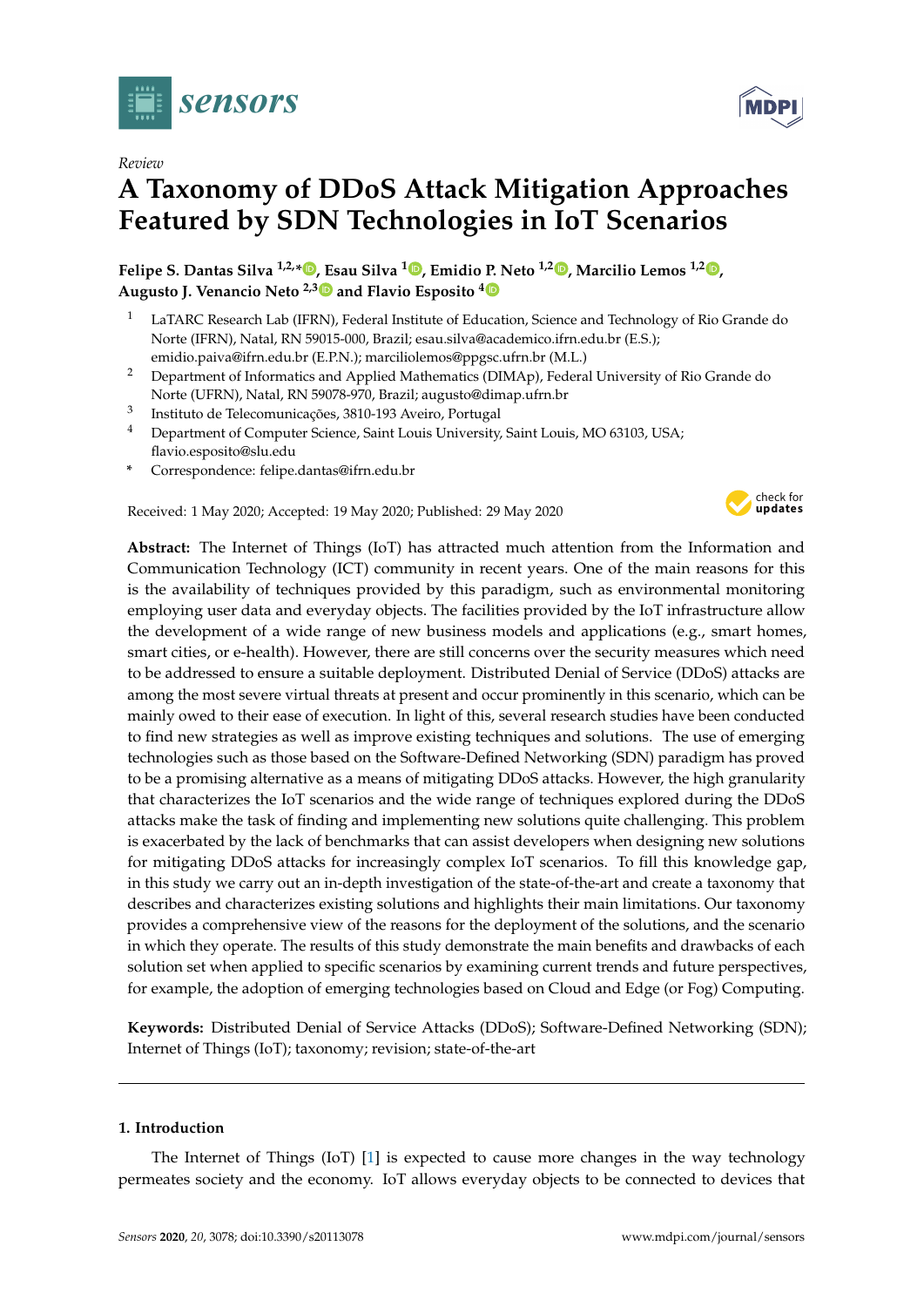

*Review*

# **A Taxonomy of DDoS Attack Mitigation Approaches Featured by SDN Technologies in IoT Scenarios**

**Felipe S. Dantas Silva 1,2,\* [,](https://orcid.org/0000-0003-4261-9138) Esau Silva <sup>1</sup> [,](https://orcid.org/0000-0002-0354-7568) Emidio P. Neto 1,2 [,](https://orcid.org/0000-0003-0518-7006) Marcilio Lemos 1,2 [,](https://orcid.org/0000-0003-0387-6414) Augusto J. Venancio Neto 2,[3](https://orcid.org/0000-0002-9936-3770) and Flavio Esposito [4](https://orcid.org/0000-0002-7798-4584)**

- <sup>1</sup> LaTARC Research Lab (IFRN), Federal Institute of Education, Science and Technology of Rio Grande do Norte (IFRN), Natal, RN 59015-000, Brazil; esau.silva@academico.ifrn.edu.br (E.S.); emidio.paiva@ifrn.edu.br (E.P.N.); marciliolemos@ppgsc.ufrn.br (M.L.)
- <sup>2</sup> Department of Informatics and Applied Mathematics (DIMAp), Federal University of Rio Grande do Norte (UFRN), Natal, RN 59078-970, Brazil; augusto@dimap.ufrn.br
- 3 Instituto de Telecomunicações, 3810-193 Aveiro, Portugal
- <sup>4</sup> Department of Computer Science, Saint Louis University, Saint Louis, MO 63103, USA; flavio.esposito@slu.edu
- **\*** Correspondence: felipe.dantas@ifrn.edu.br

Received: 1 May 2020; Accepted: 19 May 2020; Published: 29 May 2020



**Abstract:** The Internet of Things (IoT) has attracted much attention from the Information and Communication Technology (ICT) community in recent years. One of the main reasons for this is the availability of techniques provided by this paradigm, such as environmental monitoring employing user data and everyday objects. The facilities provided by the IoT infrastructure allow the development of a wide range of new business models and applications (e.g., smart homes, smart cities, or e-health). However, there are still concerns over the security measures which need to be addressed to ensure a suitable deployment. Distributed Denial of Service (DDoS) attacks are among the most severe virtual threats at present and occur prominently in this scenario, which can be mainly owed to their ease of execution. In light of this, several research studies have been conducted to find new strategies as well as improve existing techniques and solutions. The use of emerging technologies such as those based on the Software-Defined Networking (SDN) paradigm has proved to be a promising alternative as a means of mitigating DDoS attacks. However, the high granularity that characterizes the IoT scenarios and the wide range of techniques explored during the DDoS attacks make the task of finding and implementing new solutions quite challenging. This problem is exacerbated by the lack of benchmarks that can assist developers when designing new solutions for mitigating DDoS attacks for increasingly complex IoT scenarios. To fill this knowledge gap, in this study we carry out an in-depth investigation of the state-of-the-art and create a taxonomy that describes and characterizes existing solutions and highlights their main limitations. Our taxonomy provides a comprehensive view of the reasons for the deployment of the solutions, and the scenario in which they operate. The results of this study demonstrate the main benefits and drawbacks of each solution set when applied to specific scenarios by examining current trends and future perspectives, for example, the adoption of emerging technologies based on Cloud and Edge (or Fog) Computing.

**Keywords:** Distributed Denial of Service Attacks (DDoS); Software-Defined Networking (SDN); Internet of Things (IoT); taxonomy; revision; state-of-the-art

# **1. Introduction**

The Internet of Things (IoT) [\[1\]](#page-23-0) is expected to cause more changes in the way technology permeates society and the economy. IoT allows everyday objects to be connected to devices that

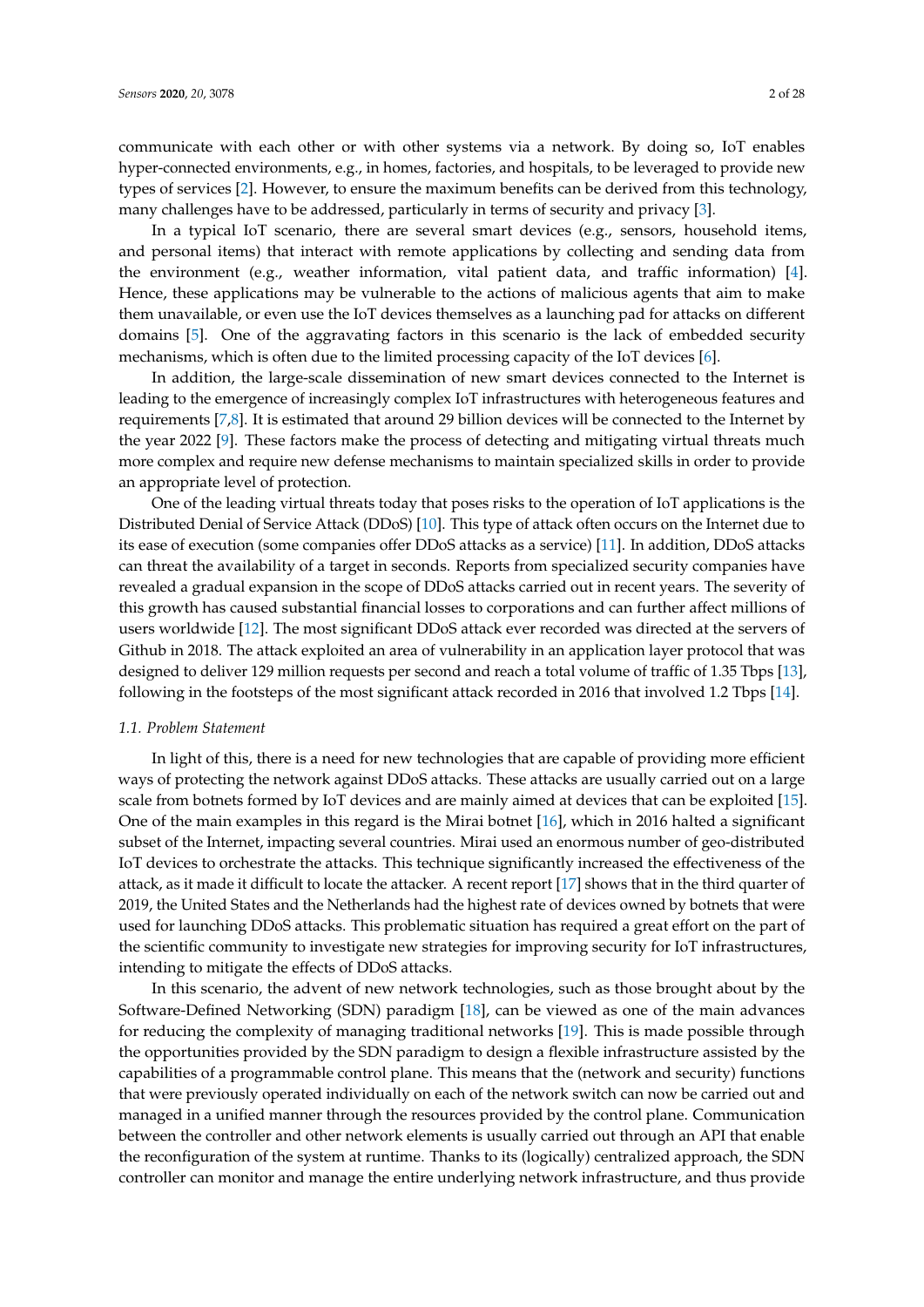communicate with each other or with other systems via a network. By doing so, IoT enables hyper-connected environments, e.g., in homes, factories, and hospitals, to be leveraged to provide new types of services [\[2\]](#page-23-1). However, to ensure the maximum benefits can be derived from this technology, many challenges have to be addressed, particularly in terms of security and privacy [\[3\]](#page-23-2).

In a typical IoT scenario, there are several smart devices (e.g., sensors, household items, and personal items) that interact with remote applications by collecting and sending data from the environment (e.g., weather information, vital patient data, and traffic information) [\[4\]](#page-23-3). Hence, these applications may be vulnerable to the actions of malicious agents that aim to make them unavailable, or even use the IoT devices themselves as a launching pad for attacks on different domains [\[5\]](#page-23-4). One of the aggravating factors in this scenario is the lack of embedded security mechanisms, which is often due to the limited processing capacity of the IoT devices [\[6\]](#page-23-5).

In addition, the large-scale dissemination of new smart devices connected to the Internet is leading to the emergence of increasingly complex IoT infrastructures with heterogeneous features and requirements [\[7](#page-23-6)[,8\]](#page-23-7). It is estimated that around 29 billion devices will be connected to the Internet by the year 2022 [\[9\]](#page-23-8). These factors make the process of detecting and mitigating virtual threats much more complex and require new defense mechanisms to maintain specialized skills in order to provide an appropriate level of protection.

One of the leading virtual threats today that poses risks to the operation of IoT applications is the Distributed Denial of Service Attack (DDoS) [\[10\]](#page-23-9). This type of attack often occurs on the Internet due to its ease of execution (some companies offer DDoS attacks as a service) [\[11\]](#page-23-10). In addition, DDoS attacks can threat the availability of a target in seconds. Reports from specialized security companies have revealed a gradual expansion in the scope of DDoS attacks carried out in recent years. The severity of this growth has caused substantial financial losses to corporations and can further affect millions of users worldwide [\[12\]](#page-23-11). The most significant DDoS attack ever recorded was directed at the servers of Github in 2018. The attack exploited an area of vulnerability in an application layer protocol that was designed to deliver 129 million requests per second and reach a total volume of traffic of 1.35 Tbps [\[13\]](#page-23-12), following in the footsteps of the most significant attack recorded in 2016 that involved 1.2 Tbps [\[14\]](#page-23-13).

# *1.1. Problem Statement*

In light of this, there is a need for new technologies that are capable of providing more efficient ways of protecting the network against DDoS attacks. These attacks are usually carried out on a large scale from botnets formed by IoT devices and are mainly aimed at devices that can be exploited [\[15\]](#page-24-0). One of the main examples in this regard is the Mirai botnet [\[16\]](#page-24-1), which in 2016 halted a significant subset of the Internet, impacting several countries. Mirai used an enormous number of geo-distributed IoT devices to orchestrate the attacks. This technique significantly increased the effectiveness of the attack, as it made it difficult to locate the attacker. A recent report [\[17\]](#page-24-2) shows that in the third quarter of 2019, the United States and the Netherlands had the highest rate of devices owned by botnets that were used for launching DDoS attacks. This problematic situation has required a great effort on the part of the scientific community to investigate new strategies for improving security for IoT infrastructures, intending to mitigate the effects of DDoS attacks.

In this scenario, the advent of new network technologies, such as those brought about by the Software-Defined Networking (SDN) paradigm [\[18\]](#page-24-3), can be viewed as one of the main advances for reducing the complexity of managing traditional networks [\[19\]](#page-24-4). This is made possible through the opportunities provided by the SDN paradigm to design a flexible infrastructure assisted by the capabilities of a programmable control plane. This means that the (network and security) functions that were previously operated individually on each of the network switch can now be carried out and managed in a unified manner through the resources provided by the control plane. Communication between the controller and other network elements is usually carried out through an API that enable the reconfiguration of the system at runtime. Thanks to its (logically) centralized approach, the SDN controller can monitor and manage the entire underlying network infrastructure, and thus provide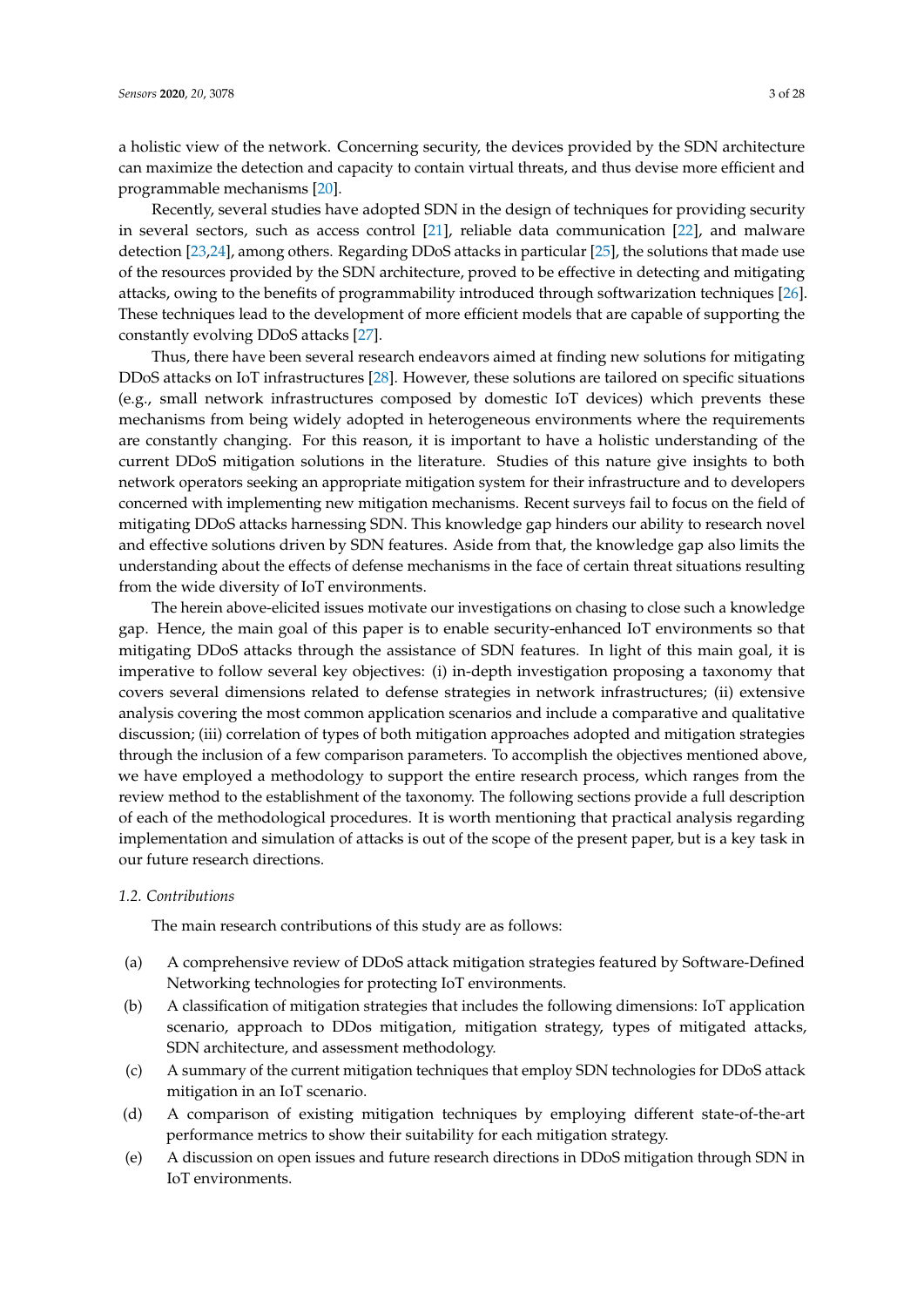a holistic view of the network. Concerning security, the devices provided by the SDN architecture can maximize the detection and capacity to contain virtual threats, and thus devise more efficient and programmable mechanisms [\[20\]](#page-24-5).

Recently, several studies have adopted SDN in the design of techniques for providing security in several sectors, such as access control [\[21\]](#page-24-6), reliable data communication [\[22\]](#page-24-7), and malware detection [\[23](#page-24-8)[,24\]](#page-24-9), among others. Regarding DDoS attacks in particular [\[25\]](#page-24-10), the solutions that made use of the resources provided by the SDN architecture, proved to be effective in detecting and mitigating attacks, owing to the benefits of programmability introduced through softwarization techniques [\[26\]](#page-24-11). These techniques lead to the development of more efficient models that are capable of supporting the constantly evolving DDoS attacks [\[27\]](#page-24-12).

Thus, there have been several research endeavors aimed at finding new solutions for mitigating DDoS attacks on IoT infrastructures [\[28\]](#page-24-13). However, these solutions are tailored on specific situations (e.g., small network infrastructures composed by domestic IoT devices) which prevents these mechanisms from being widely adopted in heterogeneous environments where the requirements are constantly changing. For this reason, it is important to have a holistic understanding of the current DDoS mitigation solutions in the literature. Studies of this nature give insights to both network operators seeking an appropriate mitigation system for their infrastructure and to developers concerned with implementing new mitigation mechanisms. Recent surveys fail to focus on the field of mitigating DDoS attacks harnessing SDN. This knowledge gap hinders our ability to research novel and effective solutions driven by SDN features. Aside from that, the knowledge gap also limits the understanding about the effects of defense mechanisms in the face of certain threat situations resulting from the wide diversity of IoT environments.

The herein above-elicited issues motivate our investigations on chasing to close such a knowledge gap. Hence, the main goal of this paper is to enable security-enhanced IoT environments so that mitigating DDoS attacks through the assistance of SDN features. In light of this main goal, it is imperative to follow several key objectives: (i) in-depth investigation proposing a taxonomy that covers several dimensions related to defense strategies in network infrastructures; (ii) extensive analysis covering the most common application scenarios and include a comparative and qualitative discussion; (iii) correlation of types of both mitigation approaches adopted and mitigation strategies through the inclusion of a few comparison parameters. To accomplish the objectives mentioned above, we have employed a methodology to support the entire research process, which ranges from the review method to the establishment of the taxonomy. The following sections provide a full description of each of the methodological procedures. It is worth mentioning that practical analysis regarding implementation and simulation of attacks is out of the scope of the present paper, but is a key task in our future research directions.

# *1.2. Contributions*

The main research contributions of this study are as follows:

- (a) A comprehensive review of DDoS attack mitigation strategies featured by Software-Defined Networking technologies for protecting IoT environments.
- (b) A classification of mitigation strategies that includes the following dimensions: IoT application scenario, approach to DDos mitigation, mitigation strategy, types of mitigated attacks, SDN architecture, and assessment methodology.
- (c) A summary of the current mitigation techniques that employ SDN technologies for DDoS attack mitigation in an IoT scenario.
- (d) A comparison of existing mitigation techniques by employing different state-of-the-art performance metrics to show their suitability for each mitigation strategy.
- (e) A discussion on open issues and future research directions in DDoS mitigation through SDN in IoT environments.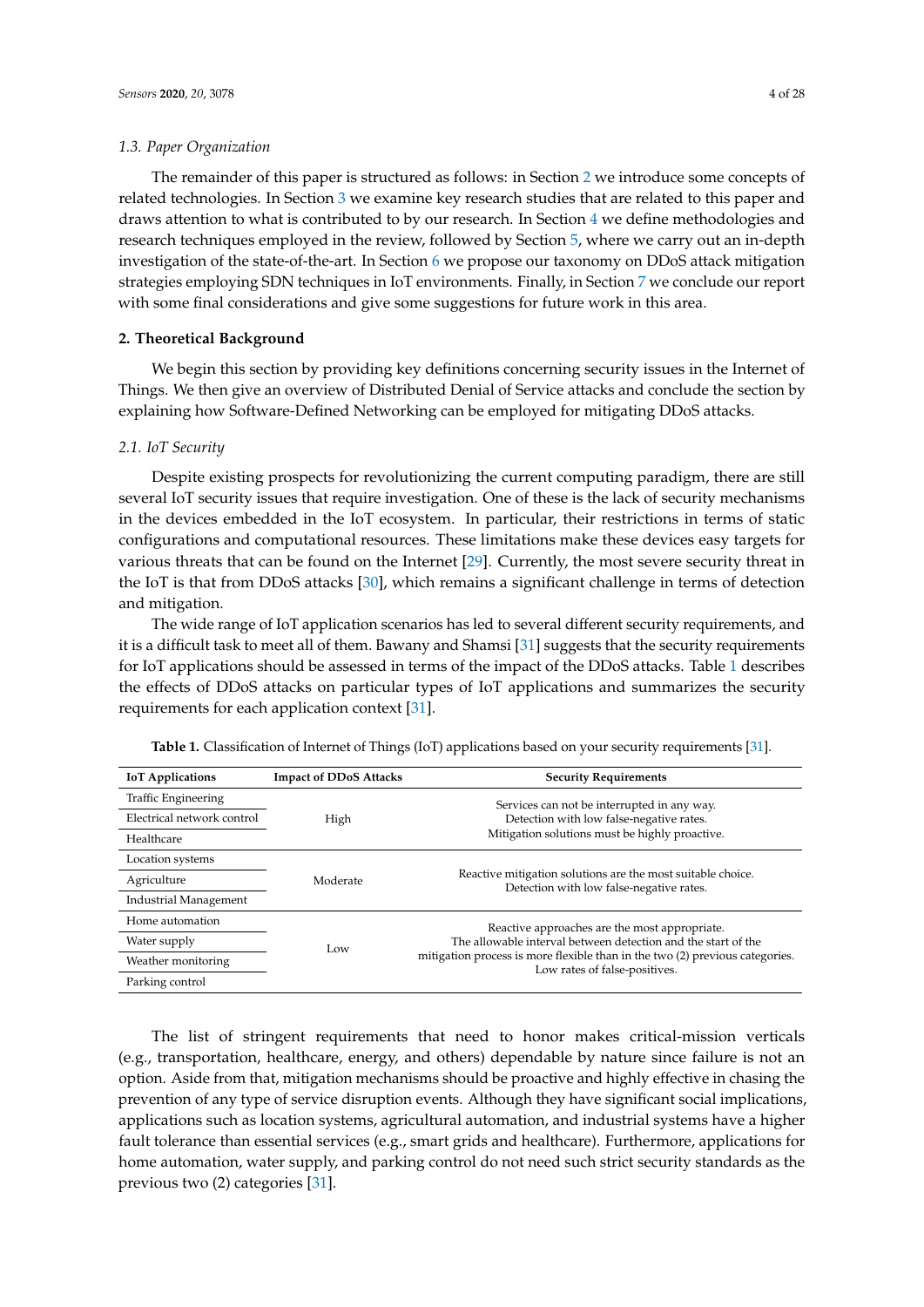#### *1.3. Paper Organization*

The remainder of this paper is structured as follows: in Section [2](#page-3-0) we introduce some concepts of related technologies. In Section [3](#page-6-0) we examine key research studies that are related to this paper and draws attention to what is contributed to by our research. In Section [4](#page-7-0) we define methodologies and research techniques employed in the review, followed by Section [5,](#page-9-0) where we carry out an in-depth investigation of the state-of-the-art. In Section [6](#page-13-0) we propose our taxonomy on DDoS attack mitigation strategies employing SDN techniques in IoT environments. Finally, in Section [7](#page-22-0) we conclude our report with some final considerations and give some suggestions for future work in this area.

# <span id="page-3-0"></span>**2. Theoretical Background**

We begin this section by providing key definitions concerning security issues in the Internet of Things. We then give an overview of Distributed Denial of Service attacks and conclude the section by explaining how Software-Defined Networking can be employed for mitigating DDoS attacks.

#### *2.1. IoT Security*

Despite existing prospects for revolutionizing the current computing paradigm, there are still several IoT security issues that require investigation. One of these is the lack of security mechanisms in the devices embedded in the IoT ecosystem. In particular, their restrictions in terms of static configurations and computational resources. These limitations make these devices easy targets for various threats that can be found on the Internet [\[29\]](#page-24-14). Currently, the most severe security threat in the IoT is that from DDoS attacks [\[30\]](#page-24-15), which remains a significant challenge in terms of detection and mitigation.

The wide range of IoT application scenarios has led to several different security requirements, and it is a difficult task to meet all of them. Bawany and Shamsi [\[31\]](#page-24-16) suggests that the security requirements for IoT applications should be assessed in terms of the impact of the DDoS attacks. Table [1](#page-3-1) describes the effects of DDoS attacks on particular types of IoT applications and summarizes the security requirements for each application context [\[31\]](#page-24-16).

| <b>IoT</b> Applications      | <b>Impact of DDoS Attacks</b> | <b>Security Requirements</b>                                                                                  |  |  |
|------------------------------|-------------------------------|---------------------------------------------------------------------------------------------------------------|--|--|
| Traffic Engineering          |                               | Services can not be interrupted in any way.                                                                   |  |  |
| Electrical network control   | High                          | Detection with low false-negative rates.                                                                      |  |  |
| Healthcare                   |                               | Mitigation solutions must be highly proactive.                                                                |  |  |
| Location systems             |                               |                                                                                                               |  |  |
| Agriculture                  | Moderate                      | Reactive mitigation solutions are the most suitable choice.<br>Detection with low false-negative rates.       |  |  |
| <b>Industrial Management</b> |                               |                                                                                                               |  |  |
| Home automation              |                               | Reactive approaches are the most appropriate.                                                                 |  |  |
| Water supply                 | Low                           | The allowable interval between detection and the start of the                                                 |  |  |
| Weather monitoring           |                               | mitigation process is more flexible than in the two (2) previous categories.<br>Low rates of false-positives. |  |  |
| Parking control              |                               |                                                                                                               |  |  |

<span id="page-3-1"></span>**Table 1.** Classification of Internet of Things (IoT) applications based on your security requirements [\[31\]](#page-24-16).

The list of stringent requirements that need to honor makes critical-mission verticals (e.g., transportation, healthcare, energy, and others) dependable by nature since failure is not an option. Aside from that, mitigation mechanisms should be proactive and highly effective in chasing the prevention of any type of service disruption events. Although they have significant social implications, applications such as location systems, agricultural automation, and industrial systems have a higher fault tolerance than essential services (e.g., smart grids and healthcare). Furthermore, applications for home automation, water supply, and parking control do not need such strict security standards as the previous two (2) categories [\[31\]](#page-24-16).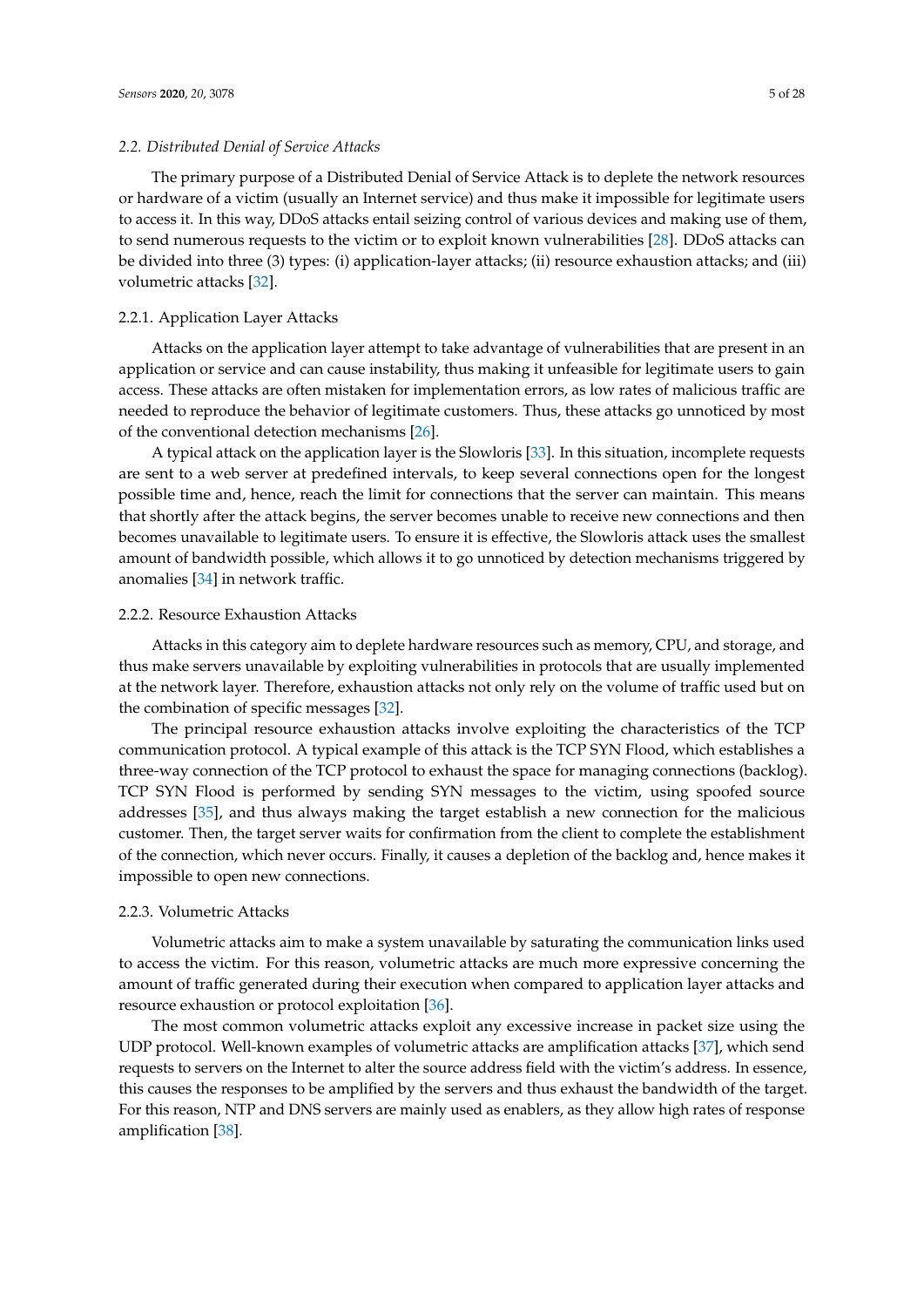#### *2.2. Distributed Denial of Service Attacks*

The primary purpose of a Distributed Denial of Service Attack is to deplete the network resources or hardware of a victim (usually an Internet service) and thus make it impossible for legitimate users to access it. In this way, DDoS attacks entail seizing control of various devices and making use of them, to send numerous requests to the victim or to exploit known vulnerabilities [\[28\]](#page-24-13). DDoS attacks can be divided into three (3) types: (i) application-layer attacks; (ii) resource exhaustion attacks; and (iii) volumetric attacks [\[32\]](#page-24-17).

# 2.2.1. Application Layer Attacks

Attacks on the application layer attempt to take advantage of vulnerabilities that are present in an application or service and can cause instability, thus making it unfeasible for legitimate users to gain access. These attacks are often mistaken for implementation errors, as low rates of malicious traffic are needed to reproduce the behavior of legitimate customers. Thus, these attacks go unnoticed by most of the conventional detection mechanisms [\[26\]](#page-24-11).

A typical attack on the application layer is the Slowloris [\[33\]](#page-24-18). In this situation, incomplete requests are sent to a web server at predefined intervals, to keep several connections open for the longest possible time and, hence, reach the limit for connections that the server can maintain. This means that shortly after the attack begins, the server becomes unable to receive new connections and then becomes unavailable to legitimate users. To ensure it is effective, the Slowloris attack uses the smallest amount of bandwidth possible, which allows it to go unnoticed by detection mechanisms triggered by anomalies [\[34\]](#page-24-19) in network traffic.

#### 2.2.2. Resource Exhaustion Attacks

Attacks in this category aim to deplete hardware resources such as memory, CPU, and storage, and thus make servers unavailable by exploiting vulnerabilities in protocols that are usually implemented at the network layer. Therefore, exhaustion attacks not only rely on the volume of traffic used but on the combination of specific messages [\[32\]](#page-24-17).

The principal resource exhaustion attacks involve exploiting the characteristics of the TCP communication protocol. A typical example of this attack is the TCP SYN Flood, which establishes a three-way connection of the TCP protocol to exhaust the space for managing connections (backlog). TCP SYN Flood is performed by sending SYN messages to the victim, using spoofed source addresses [\[35\]](#page-24-20), and thus always making the target establish a new connection for the malicious customer. Then, the target server waits for confirmation from the client to complete the establishment of the connection, which never occurs. Finally, it causes a depletion of the backlog and, hence makes it impossible to open new connections.

#### 2.2.3. Volumetric Attacks

Volumetric attacks aim to make a system unavailable by saturating the communication links used to access the victim. For this reason, volumetric attacks are much more expressive concerning the amount of traffic generated during their execution when compared to application layer attacks and resource exhaustion or protocol exploitation [\[36\]](#page-24-21).

The most common volumetric attacks exploit any excessive increase in packet size using the UDP protocol. Well-known examples of volumetric attacks are amplification attacks [\[37\]](#page-25-0), which send requests to servers on the Internet to alter the source address field with the victim's address. In essence, this causes the responses to be amplified by the servers and thus exhaust the bandwidth of the target. For this reason, NTP and DNS servers are mainly used as enablers, as they allow high rates of response amplification [\[38\]](#page-25-1).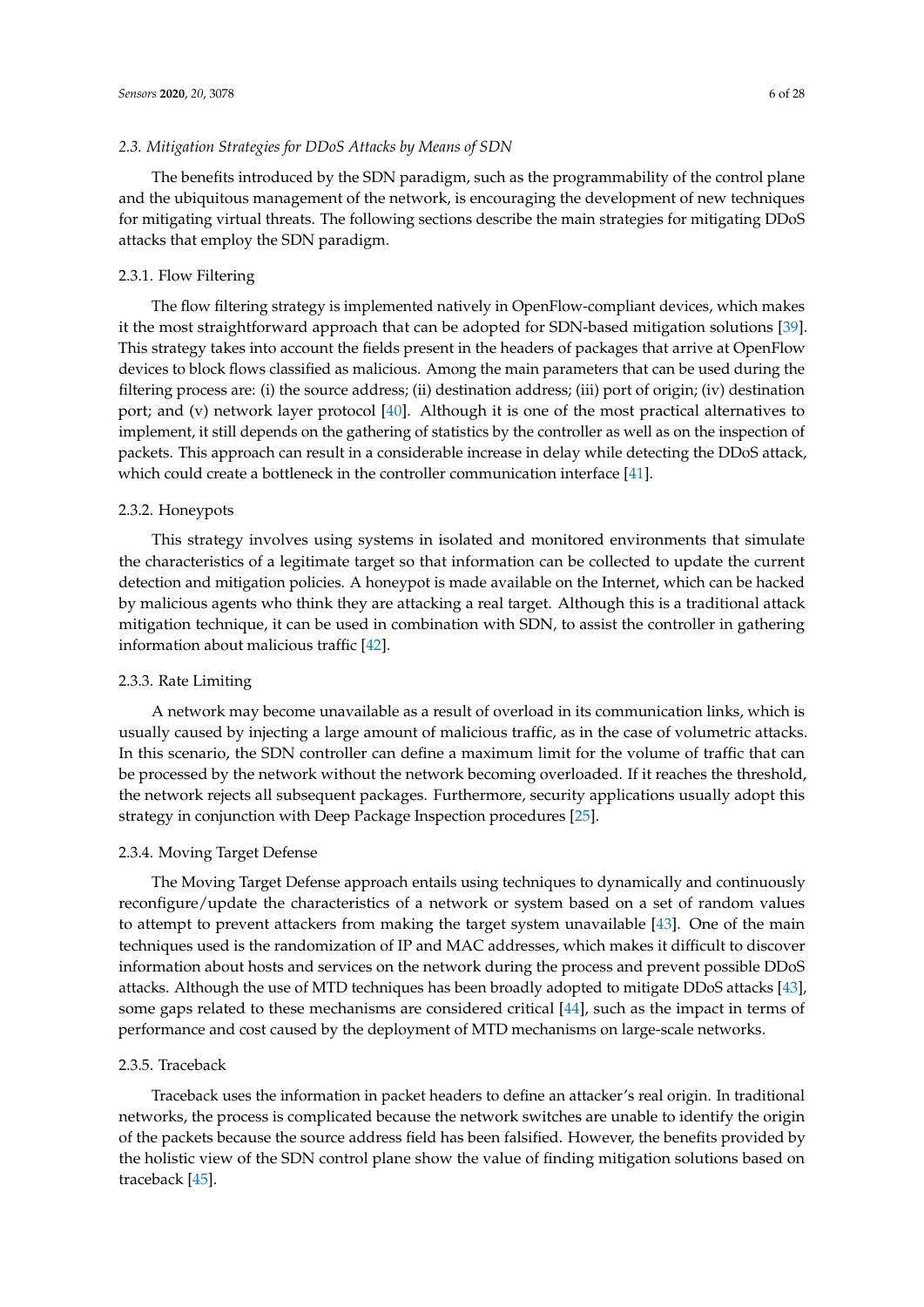#### *2.3. Mitigation Strategies for DDoS Attacks by Means of SDN*

The benefits introduced by the SDN paradigm, such as the programmability of the control plane and the ubiquitous management of the network, is encouraging the development of new techniques for mitigating virtual threats. The following sections describe the main strategies for mitigating DDoS attacks that employ the SDN paradigm.

#### 2.3.1. Flow Filtering

The flow filtering strategy is implemented natively in OpenFlow-compliant devices, which makes it the most straightforward approach that can be adopted for SDN-based mitigation solutions [\[39\]](#page-25-2). This strategy takes into account the fields present in the headers of packages that arrive at OpenFlow devices to block flows classified as malicious. Among the main parameters that can be used during the filtering process are: (i) the source address; (ii) destination address; (iii) port of origin; (iv) destination port; and (v) network layer protocol [\[40\]](#page-25-3). Although it is one of the most practical alternatives to implement, it still depends on the gathering of statistics by the controller as well as on the inspection of packets. This approach can result in a considerable increase in delay while detecting the DDoS attack, which could create a bottleneck in the controller communication interface [\[41\]](#page-25-4).

#### 2.3.2. Honeypots

This strategy involves using systems in isolated and monitored environments that simulate the characteristics of a legitimate target so that information can be collected to update the current detection and mitigation policies. A honeypot is made available on the Internet, which can be hacked by malicious agents who think they are attacking a real target. Although this is a traditional attack mitigation technique, it can be used in combination with SDN, to assist the controller in gathering information about malicious traffic [\[42\]](#page-25-5).

#### 2.3.3. Rate Limiting

A network may become unavailable as a result of overload in its communication links, which is usually caused by injecting a large amount of malicious traffic, as in the case of volumetric attacks. In this scenario, the SDN controller can define a maximum limit for the volume of traffic that can be processed by the network without the network becoming overloaded. If it reaches the threshold, the network rejects all subsequent packages. Furthermore, security applications usually adopt this strategy in conjunction with Deep Package Inspection procedures [\[25\]](#page-24-10).

#### 2.3.4. Moving Target Defense

The Moving Target Defense approach entails using techniques to dynamically and continuously reconfigure/update the characteristics of a network or system based on a set of random values to attempt to prevent attackers from making the target system unavailable [\[43\]](#page-25-6). One of the main techniques used is the randomization of IP and MAC addresses, which makes it difficult to discover information about hosts and services on the network during the process and prevent possible DDoS attacks. Although the use of MTD techniques has been broadly adopted to mitigate DDoS attacks [\[43\]](#page-25-6), some gaps related to these mechanisms are considered critical [\[44\]](#page-25-7), such as the impact in terms of performance and cost caused by the deployment of MTD mechanisms on large-scale networks.

#### 2.3.5. Traceback

Traceback uses the information in packet headers to define an attacker's real origin. In traditional networks, the process is complicated because the network switches are unable to identify the origin of the packets because the source address field has been falsified. However, the benefits provided by the holistic view of the SDN control plane show the value of finding mitigation solutions based on traceback [\[45\]](#page-25-8).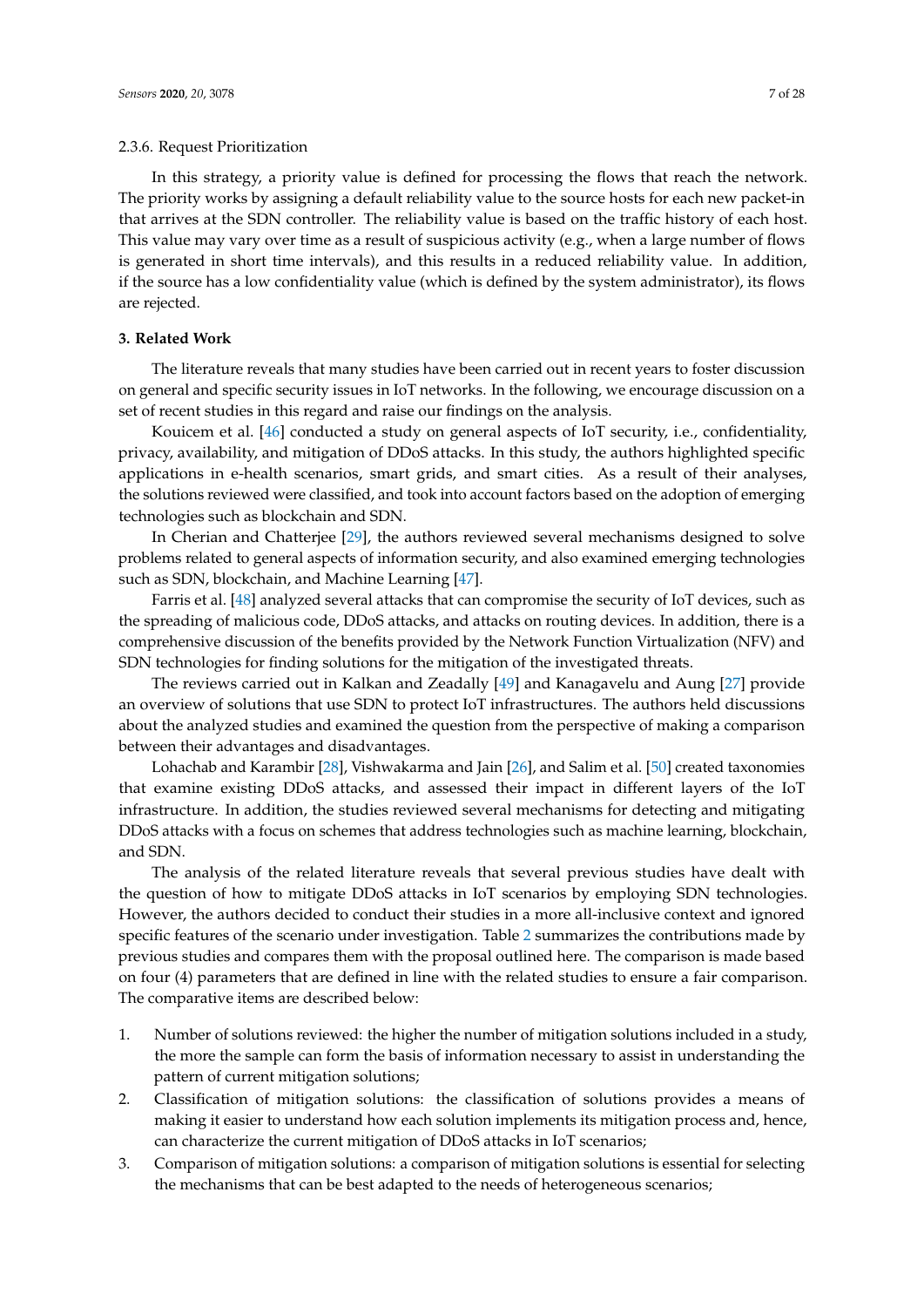In this strategy, a priority value is defined for processing the flows that reach the network. The priority works by assigning a default reliability value to the source hosts for each new packet-in that arrives at the SDN controller. The reliability value is based on the traffic history of each host. This value may vary over time as a result of suspicious activity (e.g., when a large number of flows is generated in short time intervals), and this results in a reduced reliability value. In addition, if the source has a low confidentiality value (which is defined by the system administrator), its flows are rejected.

## <span id="page-6-0"></span>**3. Related Work**

The literature reveals that many studies have been carried out in recent years to foster discussion on general and specific security issues in IoT networks. In the following, we encourage discussion on a set of recent studies in this regard and raise our findings on the analysis.

Kouicem et al. [\[46\]](#page-25-9) conducted a study on general aspects of IoT security, i.e., confidentiality, privacy, availability, and mitigation of DDoS attacks. In this study, the authors highlighted specific applications in e-health scenarios, smart grids, and smart cities. As a result of their analyses, the solutions reviewed were classified, and took into account factors based on the adoption of emerging technologies such as blockchain and SDN.

In Cherian and Chatterjee [\[29\]](#page-24-14), the authors reviewed several mechanisms designed to solve problems related to general aspects of information security, and also examined emerging technologies such as SDN, blockchain, and Machine Learning [\[47\]](#page-25-10).

Farris et al. [\[48\]](#page-25-11) analyzed several attacks that can compromise the security of IoT devices, such as the spreading of malicious code, DDoS attacks, and attacks on routing devices. In addition, there is a comprehensive discussion of the benefits provided by the Network Function Virtualization (NFV) and SDN technologies for finding solutions for the mitigation of the investigated threats.

The reviews carried out in Kalkan and Zeadally [\[49\]](#page-25-12) and Kanagavelu and Aung [\[27\]](#page-24-12) provide an overview of solutions that use SDN to protect IoT infrastructures. The authors held discussions about the analyzed studies and examined the question from the perspective of making a comparison between their advantages and disadvantages.

Lohachab and Karambir [\[28\]](#page-24-13), Vishwakarma and Jain [\[26\]](#page-24-11), and Salim et al. [\[50\]](#page-25-13) created taxonomies that examine existing DDoS attacks, and assessed their impact in different layers of the IoT infrastructure. In addition, the studies reviewed several mechanisms for detecting and mitigating DDoS attacks with a focus on schemes that address technologies such as machine learning, blockchain, and SDN.

The analysis of the related literature reveals that several previous studies have dealt with the question of how to mitigate DDoS attacks in IoT scenarios by employing SDN technologies. However, the authors decided to conduct their studies in a more all-inclusive context and ignored specific features of the scenario under investigation. Table [2](#page-7-1) summarizes the contributions made by previous studies and compares them with the proposal outlined here. The comparison is made based on four (4) parameters that are defined in line with the related studies to ensure a fair comparison. The comparative items are described below:

- 1. Number of solutions reviewed: the higher the number of mitigation solutions included in a study, the more the sample can form the basis of information necessary to assist in understanding the pattern of current mitigation solutions;
- 2. Classification of mitigation solutions: the classification of solutions provides a means of making it easier to understand how each solution implements its mitigation process and, hence, can characterize the current mitigation of DDoS attacks in IoT scenarios;
- 3. Comparison of mitigation solutions: a comparison of mitigation solutions is essential for selecting the mechanisms that can be best adapted to the needs of heterogeneous scenarios;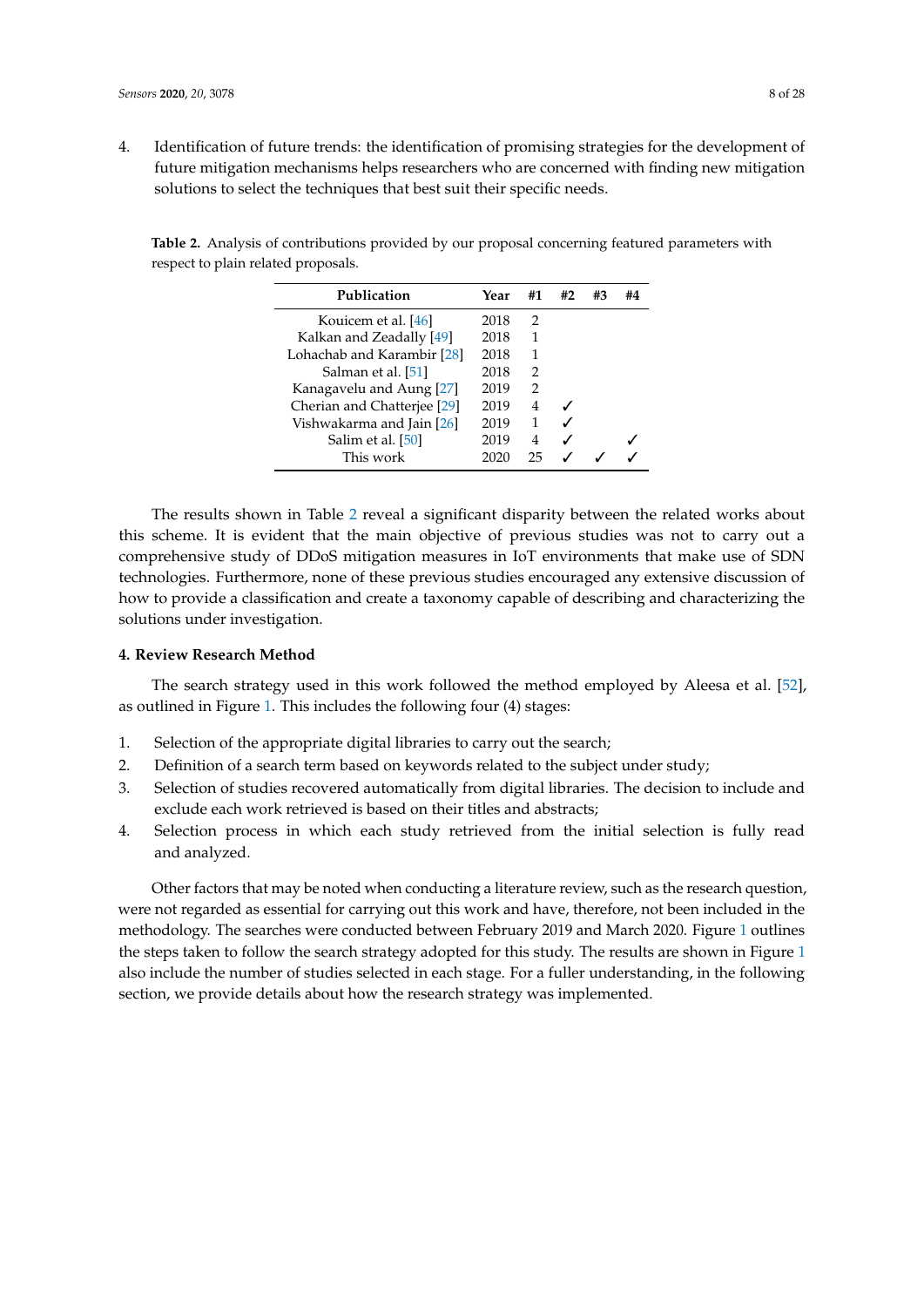4. Identification of future trends: the identification of promising strategies for the development of future mitigation mechanisms helps researchers who are concerned with finding new mitigation solutions to select the techniques that best suit their specific needs.

<span id="page-7-1"></span>**Table 2.** Analysis of contributions provided by our proposal concerning featured parameters with respect to plain related proposals.

| Publication                 | Year | #1            | #2 | #3 | #4 |
|-----------------------------|------|---------------|----|----|----|
| Kouicem et al. [46]         | 2018 | 2             |    |    |    |
| Kalkan and Zeadally [49]    | 2018 |               |    |    |    |
| Lohachab and Karambir [28]  | 2018 | 1             |    |    |    |
| Salman et al. [51]          | 2018 | $\mathcal{L}$ |    |    |    |
| Kanagavelu and Aung [27]    | 2019 | 2             |    |    |    |
| Cherian and Chatterjee [29] | 2019 | 4             |    |    |    |
| Vishwakarma and Jain [26]   | 2019 |               |    |    |    |
| Salim et al. [50]           | 2019 | 4             |    |    |    |
| This work                   | 2020 | つら            |    |    |    |

The results shown in Table [2](#page-7-1) reveal a significant disparity between the related works about this scheme. It is evident that the main objective of previous studies was not to carry out a comprehensive study of DDoS mitigation measures in IoT environments that make use of SDN technologies. Furthermore, none of these previous studies encouraged any extensive discussion of how to provide a classification and create a taxonomy capable of describing and characterizing the solutions under investigation.

# <span id="page-7-0"></span>**4. Review Research Method**

The search strategy used in this work followed the method employed by Aleesa et al. [\[52\]](#page-25-15), as outlined in Figure [1.](#page-8-0) This includes the following four (4) stages:

- 1. Selection of the appropriate digital libraries to carry out the search;
- 2. Definition of a search term based on keywords related to the subject under study;
- 3. Selection of studies recovered automatically from digital libraries. The decision to include and exclude each work retrieved is based on their titles and abstracts;
- 4. Selection process in which each study retrieved from the initial selection is fully read and analyzed.

Other factors that may be noted when conducting a literature review, such as the research question, were not regarded as essential for carrying out this work and have, therefore, not been included in the methodology. The searches were conducted between February 2019 and March 2020. Figure [1](#page-8-0) outlines the steps taken to follow the search strategy adopted for this study. The results are shown in Figure [1](#page-8-0) also include the number of studies selected in each stage. For a fuller understanding, in the following section, we provide details about how the research strategy was implemented.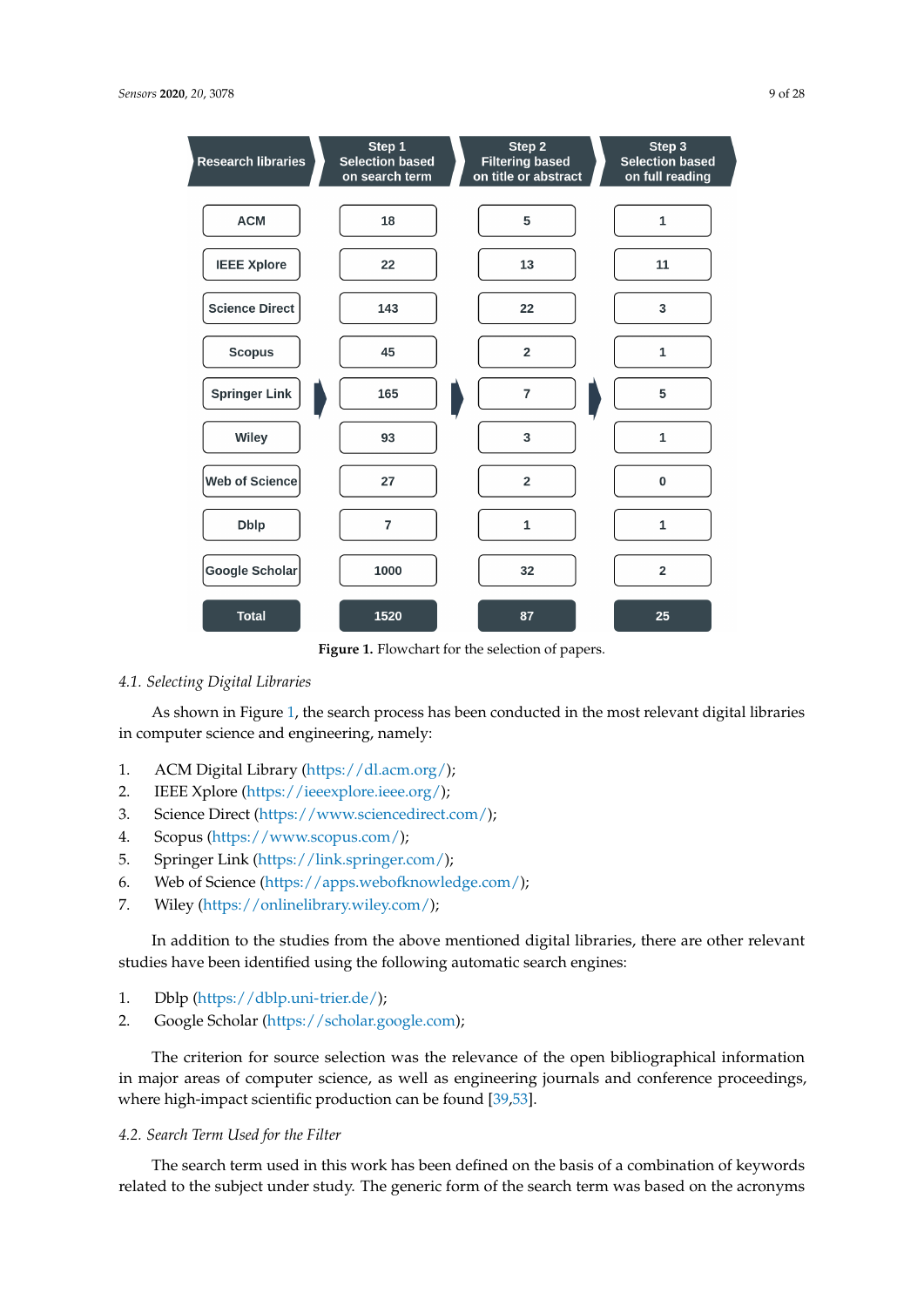<span id="page-8-0"></span>

| <b>Research libraries</b> | Step 1<br><b>Selection based</b><br>on search term | Step 2<br><b>Filtering based</b><br>on title or abstract | Step 3<br><b>Selection based</b><br>on full reading |
|---------------------------|----------------------------------------------------|----------------------------------------------------------|-----------------------------------------------------|
| <b>ACM</b>                | 18                                                 | 5                                                        | $\mathbf{1}$                                        |
| <b>IEEE Xplore</b>        | 22                                                 | 13                                                       | 11                                                  |
| <b>Science Direct</b>     | 143                                                | 22                                                       | 3                                                   |
| <b>Scopus</b>             | 45                                                 | $\overline{2}$                                           | $\mathbf{1}$                                        |
| <b>Springer Link</b>      | 165                                                | $\overline{7}$                                           | 5                                                   |
| Wiley                     | 93                                                 | 3                                                        | $\mathbf{1}$                                        |
| <b>Web of Science</b>     | 27                                                 | $\overline{2}$                                           | $\mathbf 0$                                         |
| <b>Dblp</b>               | $\overline{7}$                                     | $\mathbf{1}$                                             | $\mathbf{1}$                                        |
| Google Scholar            | 1000                                               | 32                                                       | $\overline{2}$                                      |
| <b>Total</b>              | 1520                                               | 87                                                       | 25                                                  |

**Figure 1.** Flowchart for the selection of papers.

# *4.1. Selecting Digital Libraries*

As shown in Figure [1,](#page-8-0) the search process has been conducted in the most relevant digital libraries in computer science and engineering, namely:

- 1. ACM Digital Library [\(https://dl.acm.org/\)](https://dl.acm.org/);
- 2. IEEE Xplore [\(https://ieeexplore.ieee.org/\)](https://ieeexplore.ieee.org/);
- 3. Science Direct [\(https://www.sciencedirect.com/\)](https://www.sciencedirect.com/);
- 4. Scopus [\(https://www.scopus.com/\)](https://www.scopus.com/);
- 5. Springer Link [\(https://link.springer.com/\)](https://link.springer.com/);
- 6. Web of Science [\(https://apps.webofknowledge.com/\)](https://apps.webofknowledge.com/);
- 7. Wiley [\(https://onlinelibrary.wiley.com/\)](https://onlinelibrary.wiley.com/);

In addition to the studies from the above mentioned digital libraries, there are other relevant studies have been identified using the following automatic search engines:

- 1. Dblp [\(https://dblp.uni-trier.de/\)](https://dblp.uni-trier.de/);
- 2. Google Scholar [\(https://scholar.google.com\)](https://scholar.google.com);

The criterion for source selection was the relevance of the open bibliographical information in major areas of computer science, as well as engineering journals and conference proceedings, where high-impact scientific production can be found [\[39](#page-25-2)[,53\]](#page-25-16).

# *4.2. Search Term Used for the Filter*

The search term used in this work has been defined on the basis of a combination of keywords related to the subject under study. The generic form of the search term was based on the acronyms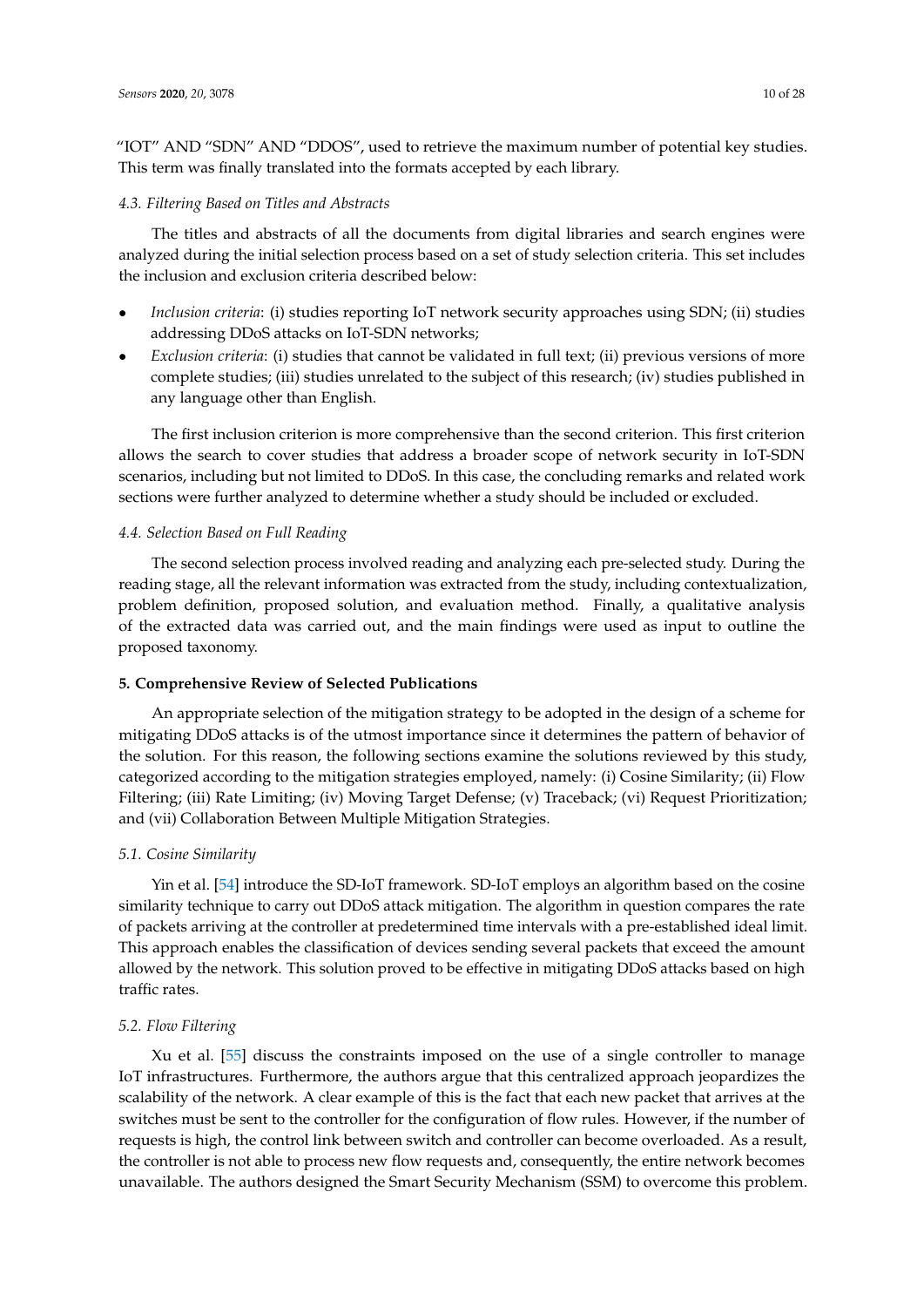"IOT" AND "SDN" AND "DDOS", used to retrieve the maximum number of potential key studies. This term was finally translated into the formats accepted by each library.

# *4.3. Filtering Based on Titles and Abstracts*

The titles and abstracts of all the documents from digital libraries and search engines were analyzed during the initial selection process based on a set of study selection criteria. This set includes the inclusion and exclusion criteria described below:

- *Inclusion criteria*: (i) studies reporting IoT network security approaches using SDN; (ii) studies addressing DDoS attacks on IoT-SDN networks;
- *Exclusion criteria*: (i) studies that cannot be validated in full text; (ii) previous versions of more complete studies; (iii) studies unrelated to the subject of this research; (iv) studies published in any language other than English.

The first inclusion criterion is more comprehensive than the second criterion. This first criterion allows the search to cover studies that address a broader scope of network security in IoT-SDN scenarios, including but not limited to DDoS. In this case, the concluding remarks and related work sections were further analyzed to determine whether a study should be included or excluded.

#### *4.4. Selection Based on Full Reading*

The second selection process involved reading and analyzing each pre-selected study. During the reading stage, all the relevant information was extracted from the study, including contextualization, problem definition, proposed solution, and evaluation method. Finally, a qualitative analysis of the extracted data was carried out, and the main findings were used as input to outline the proposed taxonomy.

#### <span id="page-9-0"></span>**5. Comprehensive Review of Selected Publications**

An appropriate selection of the mitigation strategy to be adopted in the design of a scheme for mitigating DDoS attacks is of the utmost importance since it determines the pattern of behavior of the solution. For this reason, the following sections examine the solutions reviewed by this study, categorized according to the mitigation strategies employed, namely: (i) Cosine Similarity; (ii) Flow Filtering; (iii) Rate Limiting; (iv) Moving Target Defense; (v) Traceback; (vi) Request Prioritization; and (vii) Collaboration Between Multiple Mitigation Strategies.

# *5.1. Cosine Similarity*

Yin et al. [\[54\]](#page-25-17) introduce the SD-IoT framework. SD-IoT employs an algorithm based on the cosine similarity technique to carry out DDoS attack mitigation. The algorithm in question compares the rate of packets arriving at the controller at predetermined time intervals with a pre-established ideal limit. This approach enables the classification of devices sending several packets that exceed the amount allowed by the network. This solution proved to be effective in mitigating DDoS attacks based on high traffic rates.

# *5.2. Flow Filtering*

Xu et al. [\[55\]](#page-25-18) discuss the constraints imposed on the use of a single controller to manage IoT infrastructures. Furthermore, the authors argue that this centralized approach jeopardizes the scalability of the network. A clear example of this is the fact that each new packet that arrives at the switches must be sent to the controller for the configuration of flow rules. However, if the number of requests is high, the control link between switch and controller can become overloaded. As a result, the controller is not able to process new flow requests and, consequently, the entire network becomes unavailable. The authors designed the Smart Security Mechanism (SSM) to overcome this problem.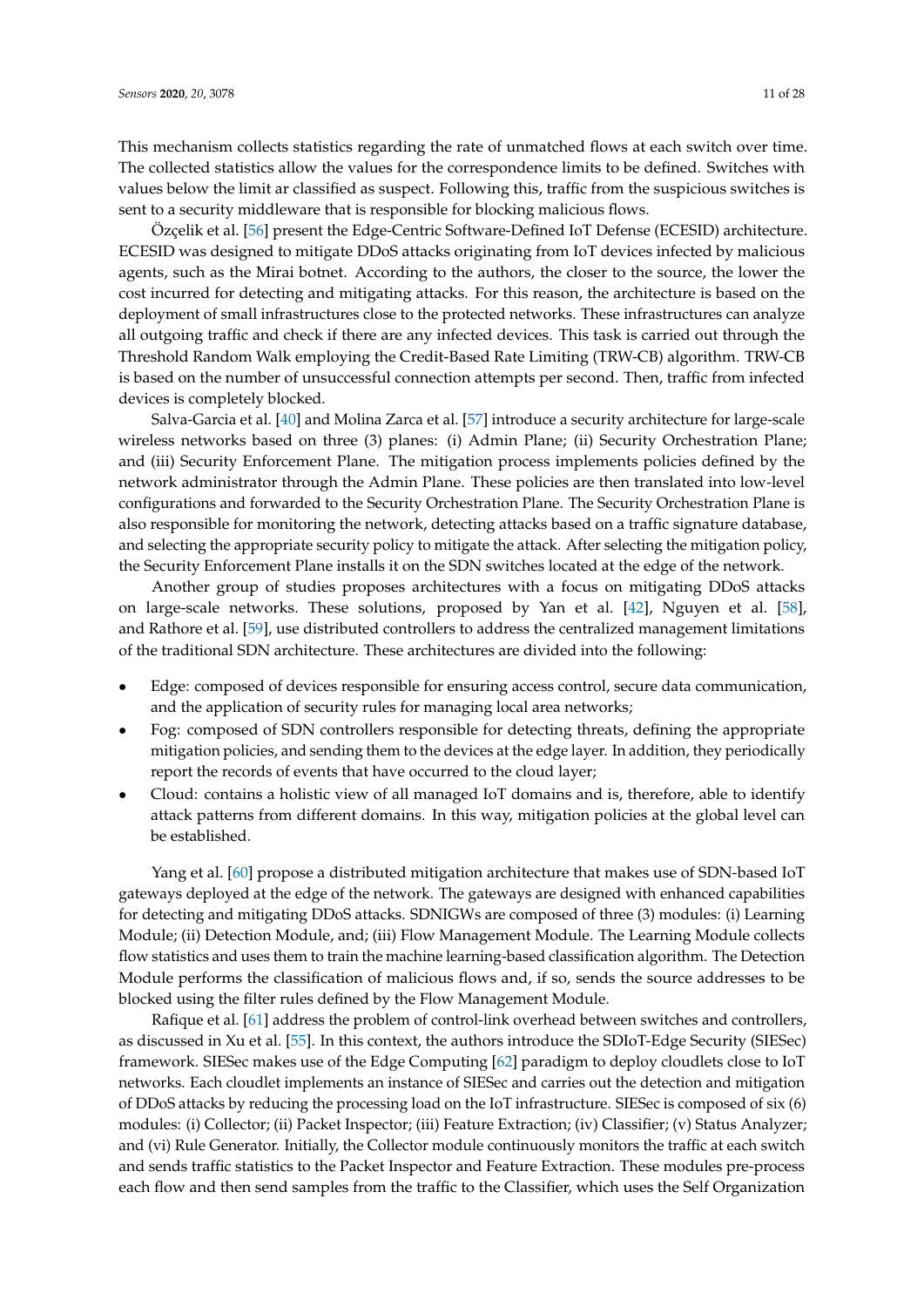This mechanism collects statistics regarding the rate of unmatched flows at each switch over time. The collected statistics allow the values for the correspondence limits to be defined. Switches with values below the limit ar classified as suspect. Following this, traffic from the suspicious switches is sent to a security middleware that is responsible for blocking malicious flows.

Özçelik et al. [\[56\]](#page-25-19) present the Edge-Centric Software-Defined IoT Defense (ECESID) architecture. ECESID was designed to mitigate DDoS attacks originating from IoT devices infected by malicious agents, such as the Mirai botnet. According to the authors, the closer to the source, the lower the cost incurred for detecting and mitigating attacks. For this reason, the architecture is based on the deployment of small infrastructures close to the protected networks. These infrastructures can analyze all outgoing traffic and check if there are any infected devices. This task is carried out through the Threshold Random Walk employing the Credit-Based Rate Limiting (TRW-CB) algorithm. TRW-CB is based on the number of unsuccessful connection attempts per second. Then, traffic from infected devices is completely blocked.

Salva-Garcia et al. [\[40\]](#page-25-3) and Molina Zarca et al. [\[57\]](#page-25-20) introduce a security architecture for large-scale wireless networks based on three (3) planes: (i) Admin Plane; (ii) Security Orchestration Plane; and (iii) Security Enforcement Plane. The mitigation process implements policies defined by the network administrator through the Admin Plane. These policies are then translated into low-level configurations and forwarded to the Security Orchestration Plane. The Security Orchestration Plane is also responsible for monitoring the network, detecting attacks based on a traffic signature database, and selecting the appropriate security policy to mitigate the attack. After selecting the mitigation policy, the Security Enforcement Plane installs it on the SDN switches located at the edge of the network.

Another group of studies proposes architectures with a focus on mitigating DDoS attacks on large-scale networks. These solutions, proposed by Yan et al. [\[42\]](#page-25-5), Nguyen et al. [\[58\]](#page-26-0), and Rathore et al. [\[59\]](#page-26-1), use distributed controllers to address the centralized management limitations of the traditional SDN architecture. These architectures are divided into the following:

- Edge: composed of devices responsible for ensuring access control, secure data communication, and the application of security rules for managing local area networks;
- Fog: composed of SDN controllers responsible for detecting threats, defining the appropriate mitigation policies, and sending them to the devices at the edge layer. In addition, they periodically report the records of events that have occurred to the cloud layer;
- Cloud: contains a holistic view of all managed IoT domains and is, therefore, able to identify attack patterns from different domains. In this way, mitigation policies at the global level can be established.

Yang et al. [\[60\]](#page-26-2) propose a distributed mitigation architecture that makes use of SDN-based IoT gateways deployed at the edge of the network. The gateways are designed with enhanced capabilities for detecting and mitigating DDoS attacks. SDNIGWs are composed of three (3) modules: (i) Learning Module; (ii) Detection Module, and; (iii) Flow Management Module. The Learning Module collects flow statistics and uses them to train the machine learning-based classification algorithm. The Detection Module performs the classification of malicious flows and, if so, sends the source addresses to be blocked using the filter rules defined by the Flow Management Module.

Rafique et al. [\[61\]](#page-26-3) address the problem of control-link overhead between switches and controllers, as discussed in Xu et al. [\[55\]](#page-25-18). In this context, the authors introduce the SDIoT-Edge Security (SIESec) framework. SIESec makes use of the Edge Computing [\[62\]](#page-26-4) paradigm to deploy cloudlets close to IoT networks. Each cloudlet implements an instance of SIESec and carries out the detection and mitigation of DDoS attacks by reducing the processing load on the IoT infrastructure. SIESec is composed of six (6) modules: (i) Collector; (ii) Packet Inspector; (iii) Feature Extraction; (iv) Classifier; (v) Status Analyzer; and (vi) Rule Generator. Initially, the Collector module continuously monitors the traffic at each switch and sends traffic statistics to the Packet Inspector and Feature Extraction. These modules pre-process each flow and then send samples from the traffic to the Classifier, which uses the Self Organization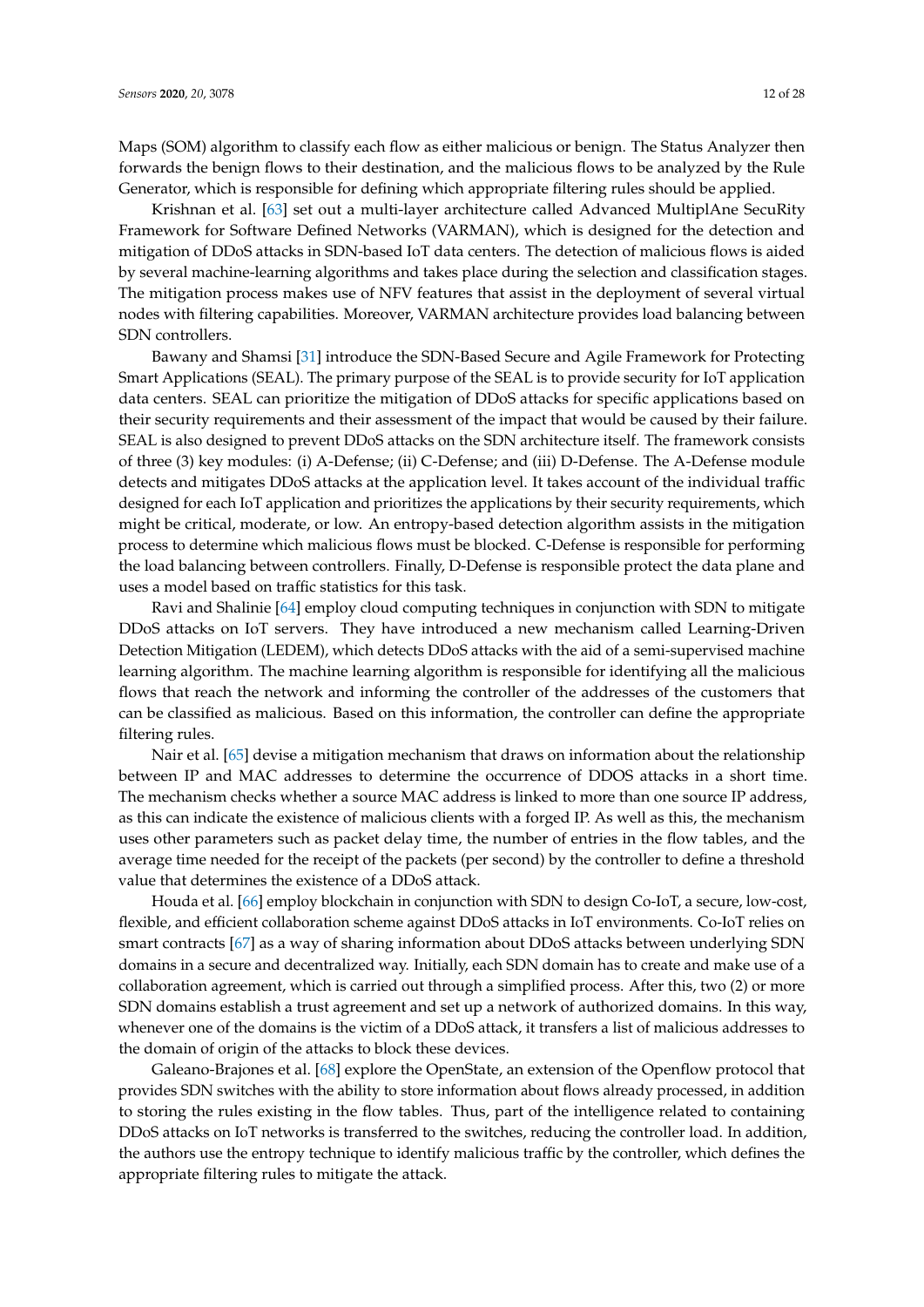Maps (SOM) algorithm to classify each flow as either malicious or benign. The Status Analyzer then forwards the benign flows to their destination, and the malicious flows to be analyzed by the Rule Generator, which is responsible for defining which appropriate filtering rules should be applied.

Krishnan et al. [\[63\]](#page-26-5) set out a multi-layer architecture called Advanced MultiplAne SecuRity Framework for Software Defined Networks (VARMAN), which is designed for the detection and mitigation of DDoS attacks in SDN-based IoT data centers. The detection of malicious flows is aided by several machine-learning algorithms and takes place during the selection and classification stages. The mitigation process makes use of NFV features that assist in the deployment of several virtual nodes with filtering capabilities. Moreover, VARMAN architecture provides load balancing between SDN controllers.

Bawany and Shamsi [\[31\]](#page-24-16) introduce the SDN-Based Secure and Agile Framework for Protecting Smart Applications (SEAL). The primary purpose of the SEAL is to provide security for IoT application data centers. SEAL can prioritize the mitigation of DDoS attacks for specific applications based on their security requirements and their assessment of the impact that would be caused by their failure. SEAL is also designed to prevent DDoS attacks on the SDN architecture itself. The framework consists of three (3) key modules: (i) A-Defense; (ii) C-Defense; and (iii) D-Defense. The A-Defense module detects and mitigates DDoS attacks at the application level. It takes account of the individual traffic designed for each IoT application and prioritizes the applications by their security requirements, which might be critical, moderate, or low. An entropy-based detection algorithm assists in the mitigation process to determine which malicious flows must be blocked. C-Defense is responsible for performing the load balancing between controllers. Finally, D-Defense is responsible protect the data plane and uses a model based on traffic statistics for this task.

Ravi and Shalinie [\[64\]](#page-26-6) employ cloud computing techniques in conjunction with SDN to mitigate DDoS attacks on IoT servers. They have introduced a new mechanism called Learning-Driven Detection Mitigation (LEDEM), which detects DDoS attacks with the aid of a semi-supervised machine learning algorithm. The machine learning algorithm is responsible for identifying all the malicious flows that reach the network and informing the controller of the addresses of the customers that can be classified as malicious. Based on this information, the controller can define the appropriate filtering rules.

Nair et al. [\[65\]](#page-26-7) devise a mitigation mechanism that draws on information about the relationship between IP and MAC addresses to determine the occurrence of DDOS attacks in a short time. The mechanism checks whether a source MAC address is linked to more than one source IP address, as this can indicate the existence of malicious clients with a forged IP. As well as this, the mechanism uses other parameters such as packet delay time, the number of entries in the flow tables, and the average time needed for the receipt of the packets (per second) by the controller to define a threshold value that determines the existence of a DDoS attack.

Houda et al. [\[66\]](#page-26-8) employ blockchain in conjunction with SDN to design Co-IoT, a secure, low-cost, flexible, and efficient collaboration scheme against DDoS attacks in IoT environments. Co-IoT relies on smart contracts [\[67\]](#page-26-9) as a way of sharing information about DDoS attacks between underlying SDN domains in a secure and decentralized way. Initially, each SDN domain has to create and make use of a collaboration agreement, which is carried out through a simplified process. After this, two (2) or more SDN domains establish a trust agreement and set up a network of authorized domains. In this way, whenever one of the domains is the victim of a DDoS attack, it transfers a list of malicious addresses to the domain of origin of the attacks to block these devices.

Galeano-Brajones et al. [\[68\]](#page-26-10) explore the OpenState, an extension of the Openflow protocol that provides SDN switches with the ability to store information about flows already processed, in addition to storing the rules existing in the flow tables. Thus, part of the intelligence related to containing DDoS attacks on IoT networks is transferred to the switches, reducing the controller load. In addition, the authors use the entropy technique to identify malicious traffic by the controller, which defines the appropriate filtering rules to mitigate the attack.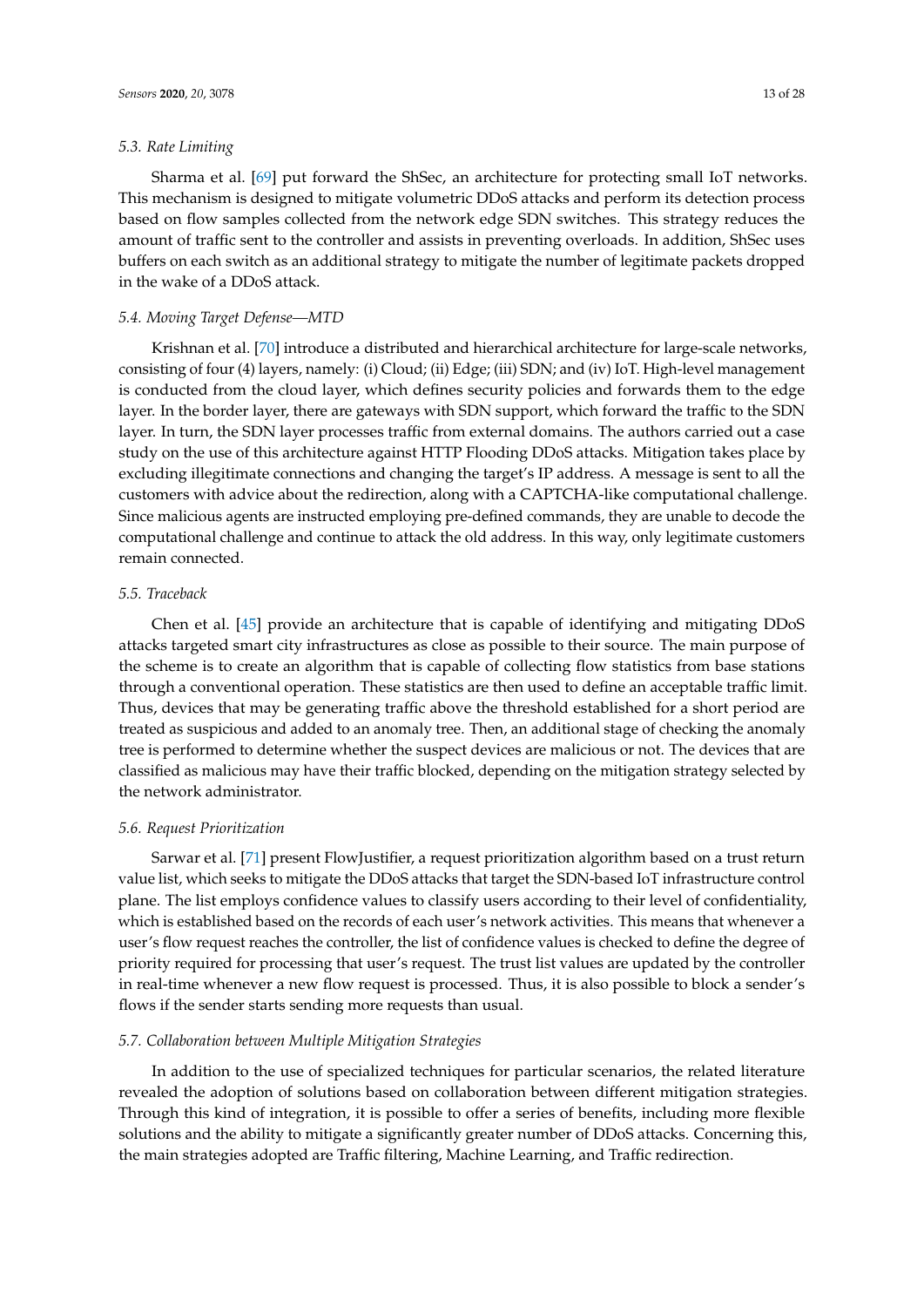# *5.3. Rate Limiting*

Sharma et al. [\[69\]](#page-26-11) put forward the ShSec, an architecture for protecting small IoT networks. This mechanism is designed to mitigate volumetric DDoS attacks and perform its detection process based on flow samples collected from the network edge SDN switches. This strategy reduces the amount of traffic sent to the controller and assists in preventing overloads. In addition, ShSec uses buffers on each switch as an additional strategy to mitigate the number of legitimate packets dropped in the wake of a DDoS attack.

# *5.4. Moving Target Defense—MTD*

Krishnan et al. [\[70\]](#page-26-12) introduce a distributed and hierarchical architecture for large-scale networks, consisting of four (4) layers, namely: (i) Cloud; (ii) Edge; (iii) SDN; and (iv) IoT. High-level management is conducted from the cloud layer, which defines security policies and forwards them to the edge layer. In the border layer, there are gateways with SDN support, which forward the traffic to the SDN layer. In turn, the SDN layer processes traffic from external domains. The authors carried out a case study on the use of this architecture against HTTP Flooding DDoS attacks. Mitigation takes place by excluding illegitimate connections and changing the target's IP address. A message is sent to all the customers with advice about the redirection, along with a CAPTCHA-like computational challenge. Since malicious agents are instructed employing pre-defined commands, they are unable to decode the computational challenge and continue to attack the old address. In this way, only legitimate customers remain connected.

# *5.5. Traceback*

Chen et al. [\[45\]](#page-25-8) provide an architecture that is capable of identifying and mitigating DDoS attacks targeted smart city infrastructures as close as possible to their source. The main purpose of the scheme is to create an algorithm that is capable of collecting flow statistics from base stations through a conventional operation. These statistics are then used to define an acceptable traffic limit. Thus, devices that may be generating traffic above the threshold established for a short period are treated as suspicious and added to an anomaly tree. Then, an additional stage of checking the anomaly tree is performed to determine whether the suspect devices are malicious or not. The devices that are classified as malicious may have their traffic blocked, depending on the mitigation strategy selected by the network administrator.

# *5.6. Request Prioritization*

Sarwar et al. [\[71\]](#page-26-13) present FlowJustifier, a request prioritization algorithm based on a trust return value list, which seeks to mitigate the DDoS attacks that target the SDN-based IoT infrastructure control plane. The list employs confidence values to classify users according to their level of confidentiality, which is established based on the records of each user's network activities. This means that whenever a user's flow request reaches the controller, the list of confidence values is checked to define the degree of priority required for processing that user's request. The trust list values are updated by the controller in real-time whenever a new flow request is processed. Thus, it is also possible to block a sender's flows if the sender starts sending more requests than usual.

# *5.7. Collaboration between Multiple Mitigation Strategies*

In addition to the use of specialized techniques for particular scenarios, the related literature revealed the adoption of solutions based on collaboration between different mitigation strategies. Through this kind of integration, it is possible to offer a series of benefits, including more flexible solutions and the ability to mitigate a significantly greater number of DDoS attacks. Concerning this, the main strategies adopted are Traffic filtering, Machine Learning, and Traffic redirection.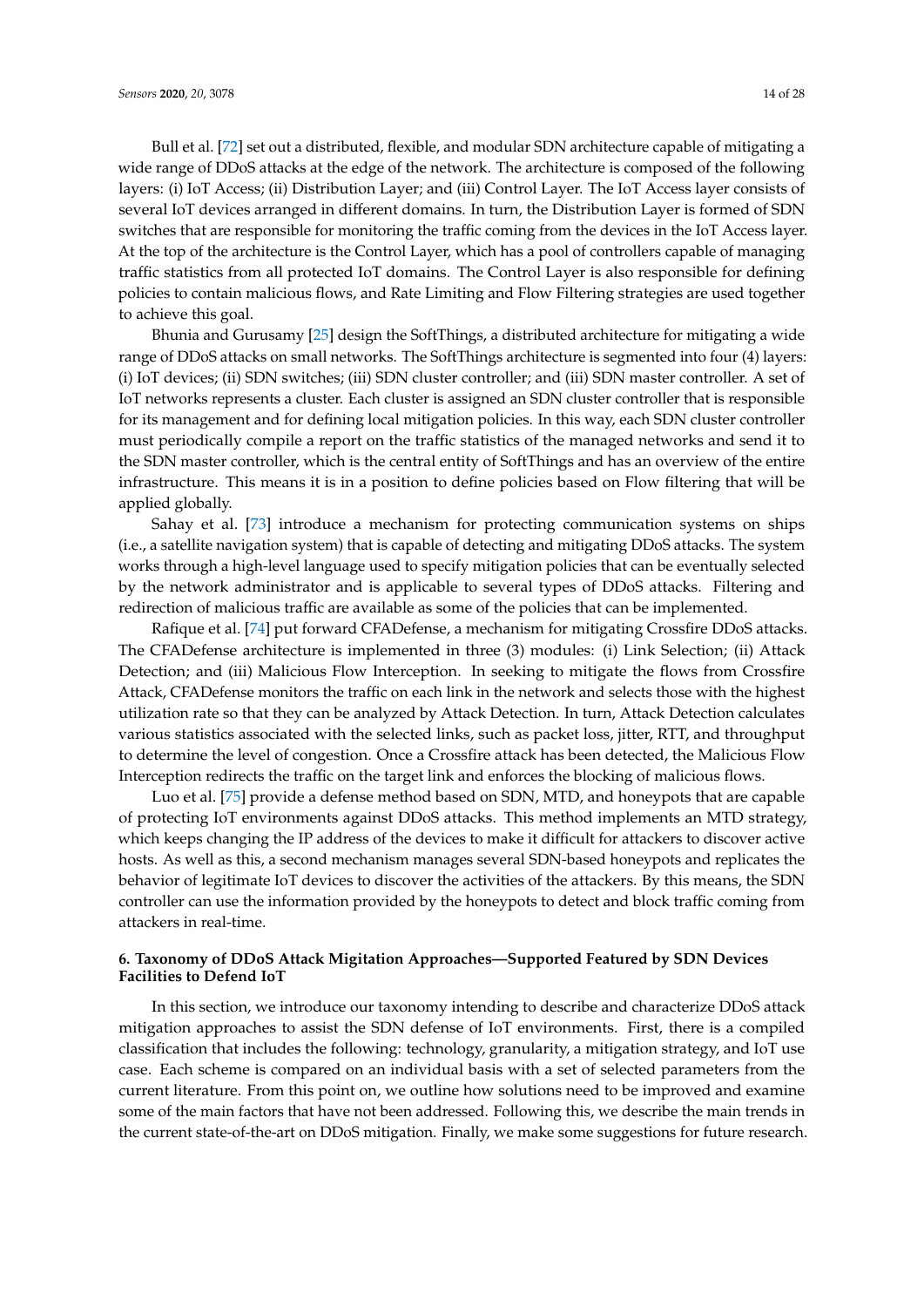Bull et al. [\[72\]](#page-26-14) set out a distributed, flexible, and modular SDN architecture capable of mitigating a wide range of DDoS attacks at the edge of the network. The architecture is composed of the following layers: (i) IoT Access; (ii) Distribution Layer; and (iii) Control Layer. The IoT Access layer consists of several IoT devices arranged in different domains. In turn, the Distribution Layer is formed of SDN switches that are responsible for monitoring the traffic coming from the devices in the IoT Access layer. At the top of the architecture is the Control Layer, which has a pool of controllers capable of managing traffic statistics from all protected IoT domains. The Control Layer is also responsible for defining policies to contain malicious flows, and Rate Limiting and Flow Filtering strategies are used together to achieve this goal.

Bhunia and Gurusamy [\[25\]](#page-24-10) design the SoftThings, a distributed architecture for mitigating a wide range of DDoS attacks on small networks. The SoftThings architecture is segmented into four (4) layers: (i) IoT devices; (ii) SDN switches; (iii) SDN cluster controller; and (iii) SDN master controller. A set of IoT networks represents a cluster. Each cluster is assigned an SDN cluster controller that is responsible for its management and for defining local mitigation policies. In this way, each SDN cluster controller must periodically compile a report on the traffic statistics of the managed networks and send it to the SDN master controller, which is the central entity of SoftThings and has an overview of the entire infrastructure. This means it is in a position to define policies based on Flow filtering that will be applied globally.

Sahay et al. [\[73\]](#page-26-15) introduce a mechanism for protecting communication systems on ships (i.e., a satellite navigation system) that is capable of detecting and mitigating DDoS attacks. The system works through a high-level language used to specify mitigation policies that can be eventually selected by the network administrator and is applicable to several types of DDoS attacks. Filtering and redirection of malicious traffic are available as some of the policies that can be implemented.

Rafique et al. [\[74\]](#page-26-16) put forward CFADefense, a mechanism for mitigating Crossfire DDoS attacks. The CFADefense architecture is implemented in three (3) modules: (i) Link Selection; (ii) Attack Detection; and (iii) Malicious Flow Interception. In seeking to mitigate the flows from Crossfire Attack, CFADefense monitors the traffic on each link in the network and selects those with the highest utilization rate so that they can be analyzed by Attack Detection. In turn, Attack Detection calculates various statistics associated with the selected links, such as packet loss, jitter, RTT, and throughput to determine the level of congestion. Once a Crossfire attack has been detected, the Malicious Flow Interception redirects the traffic on the target link and enforces the blocking of malicious flows.

Luo et al. [\[75\]](#page-26-17) provide a defense method based on SDN, MTD, and honeypots that are capable of protecting IoT environments against DDoS attacks. This method implements an MTD strategy, which keeps changing the IP address of the devices to make it difficult for attackers to discover active hosts. As well as this, a second mechanism manages several SDN-based honeypots and replicates the behavior of legitimate IoT devices to discover the activities of the attackers. By this means, the SDN controller can use the information provided by the honeypots to detect and block traffic coming from attackers in real-time.

# <span id="page-13-0"></span>**6. Taxonomy of DDoS Attack Migitation Approaches—Supported Featured by SDN Devices Facilities to Defend IoT**

In this section, we introduce our taxonomy intending to describe and characterize DDoS attack mitigation approaches to assist the SDN defense of IoT environments. First, there is a compiled classification that includes the following: technology, granularity, a mitigation strategy, and IoT use case. Each scheme is compared on an individual basis with a set of selected parameters from the current literature. From this point on, we outline how solutions need to be improved and examine some of the main factors that have not been addressed. Following this, we describe the main trends in the current state-of-the-art on DDoS mitigation. Finally, we make some suggestions for future research.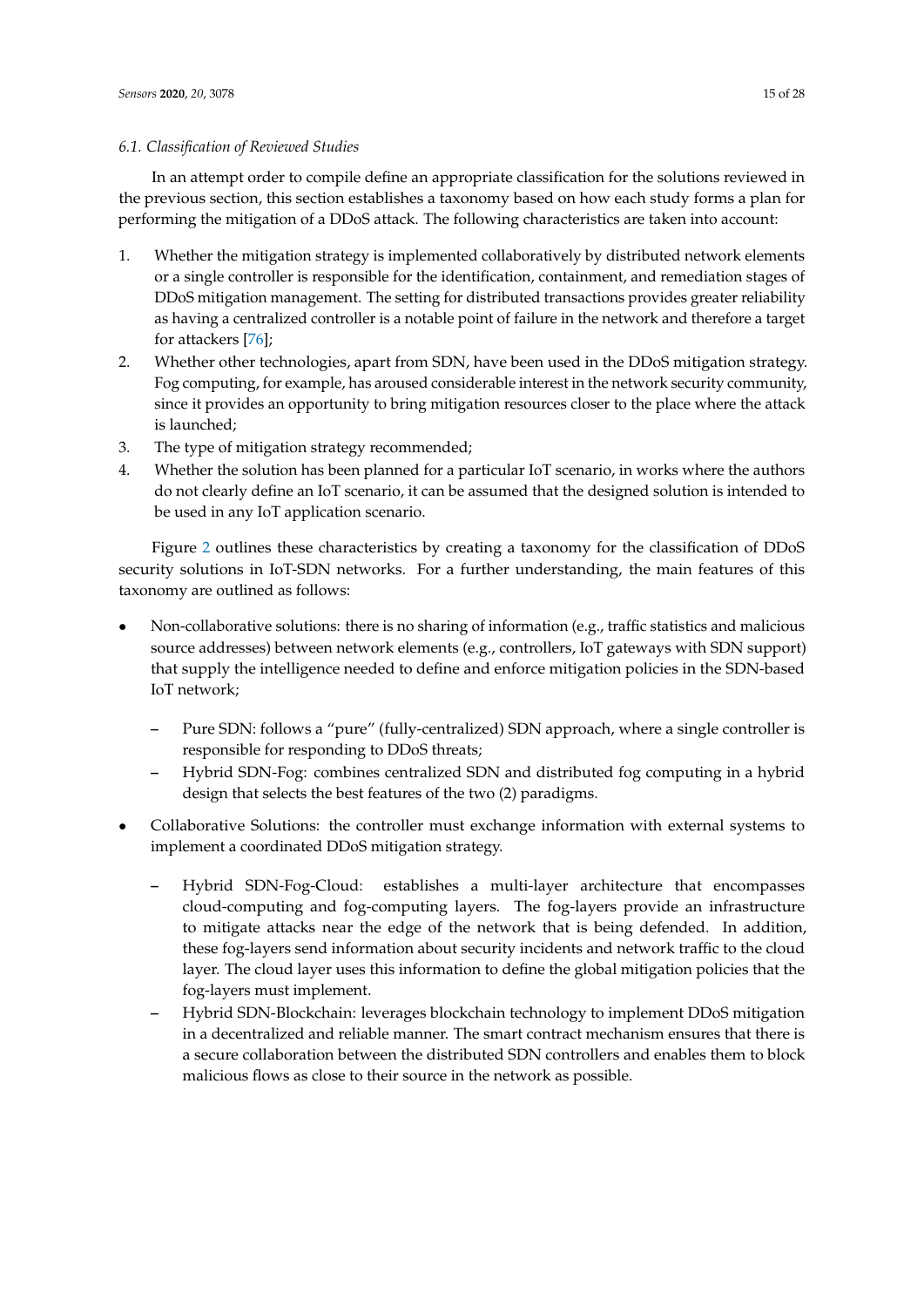# *6.1. Classification of Reviewed Studies*

In an attempt order to compile define an appropriate classification for the solutions reviewed in the previous section, this section establishes a taxonomy based on how each study forms a plan for performing the mitigation of a DDoS attack. The following characteristics are taken into account:

- 1. Whether the mitigation strategy is implemented collaboratively by distributed network elements or a single controller is responsible for the identification, containment, and remediation stages of DDoS mitigation management. The setting for distributed transactions provides greater reliability as having a centralized controller is a notable point of failure in the network and therefore a target for attackers [\[76\]](#page-26-18);
- 2. Whether other technologies, apart from SDN, have been used in the DDoS mitigation strategy. Fog computing, for example, has aroused considerable interest in the network security community, since it provides an opportunity to bring mitigation resources closer to the place where the attack is launched;
- 3. The type of mitigation strategy recommended;
- 4. Whether the solution has been planned for a particular IoT scenario, in works where the authors do not clearly define an IoT scenario, it can be assumed that the designed solution is intended to be used in any IoT application scenario.

Figure [2](#page-15-0) outlines these characteristics by creating a taxonomy for the classification of DDoS security solutions in IoT-SDN networks. For a further understanding, the main features of this taxonomy are outlined as follows:

- Non-collaborative solutions: there is no sharing of information (e.g., traffic statistics and malicious source addresses) between network elements (e.g., controllers, IoT gateways with SDN support) that supply the intelligence needed to define and enforce mitigation policies in the SDN-based IoT network;
	- **–** Pure SDN: follows a "pure" (fully-centralized) SDN approach, where a single controller is responsible for responding to DDoS threats;
	- **–** Hybrid SDN-Fog: combines centralized SDN and distributed fog computing in a hybrid design that selects the best features of the two (2) paradigms.
- Collaborative Solutions: the controller must exchange information with external systems to implement a coordinated DDoS mitigation strategy.
	- **–** Hybrid SDN-Fog-Cloud: establishes a multi-layer architecture that encompasses cloud-computing and fog-computing layers. The fog-layers provide an infrastructure to mitigate attacks near the edge of the network that is being defended. In addition, these fog-layers send information about security incidents and network traffic to the cloud layer. The cloud layer uses this information to define the global mitigation policies that the fog-layers must implement.
	- **–** Hybrid SDN-Blockchain: leverages blockchain technology to implement DDoS mitigation in a decentralized and reliable manner. The smart contract mechanism ensures that there is a secure collaboration between the distributed SDN controllers and enables them to block malicious flows as close to their source in the network as possible.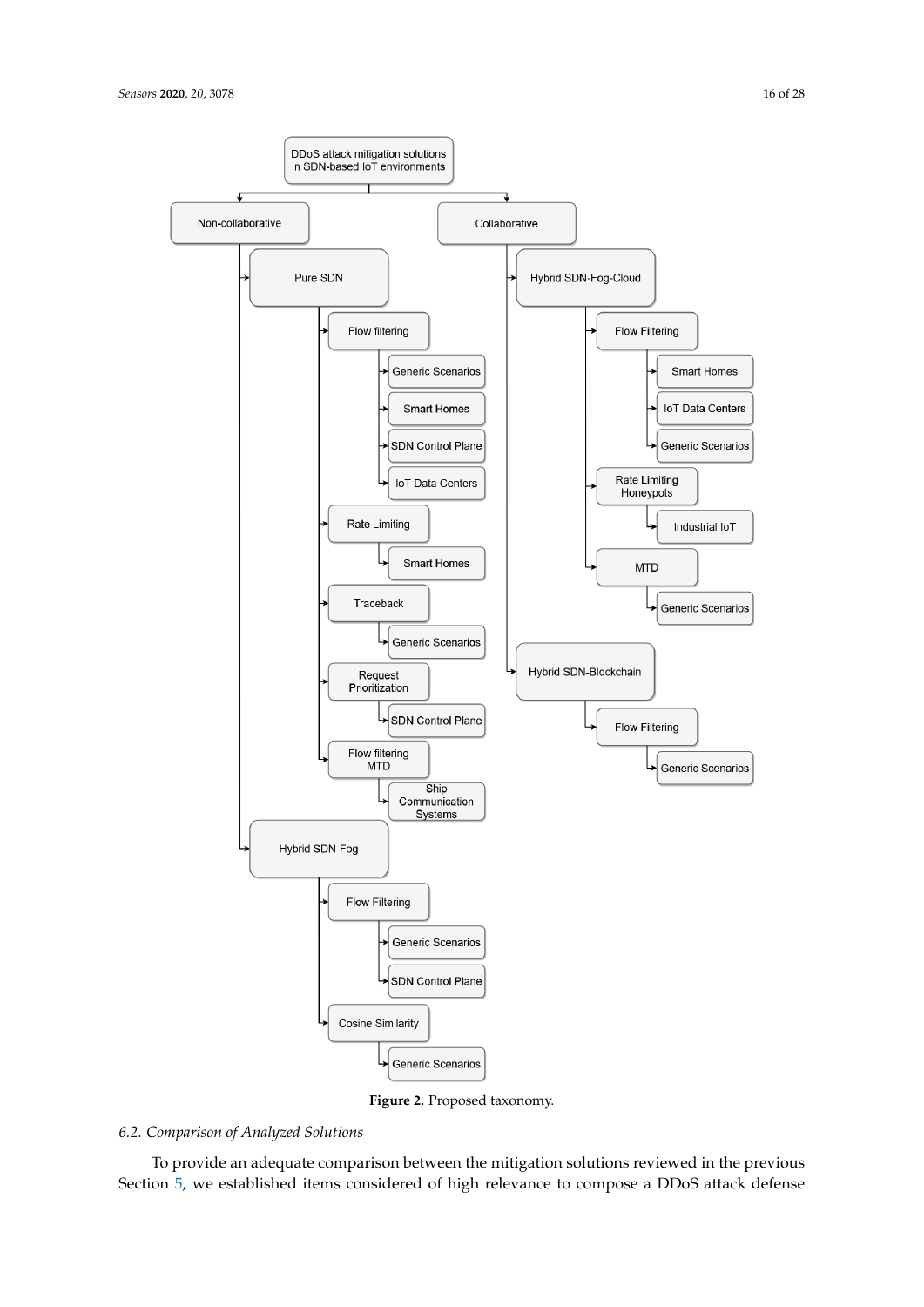<span id="page-15-0"></span>

**Figure 2.** Proposed taxonomy.

# *6.2. Comparison of Analyzed Solutions*

To provide an adequate comparison between the mitigation solutions reviewed in the previous Section [5,](#page-9-0) we established items considered of high relevance to compose a DDoS attack defense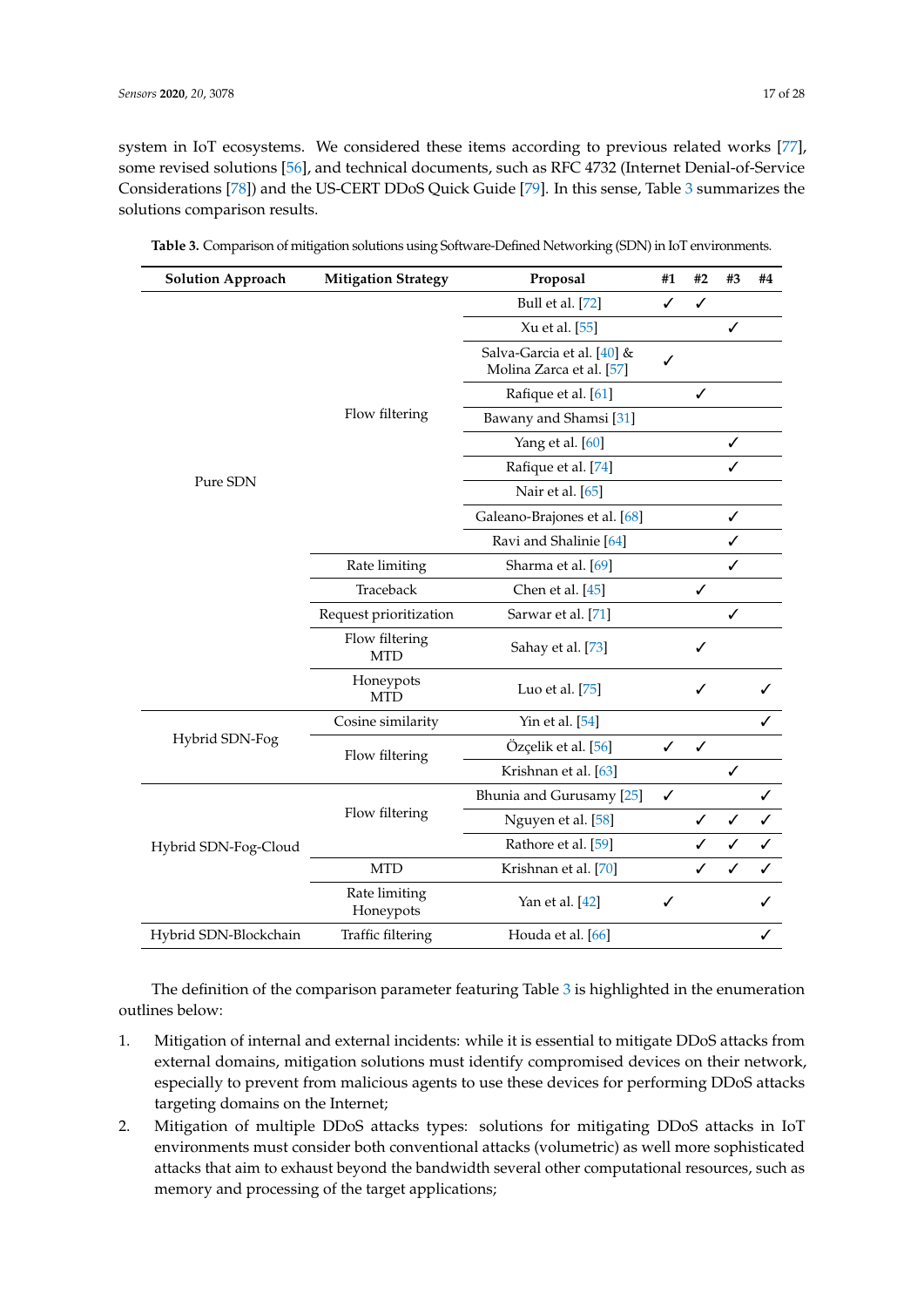system in IoT ecosystems. We considered these items according to previous related works [\[77\]](#page-27-0), some revised solutions [\[56\]](#page-25-19), and technical documents, such as RFC 4732 (Internet Denial-of-Service Considerations [\[78\]](#page-27-1)) and the US-CERT DDoS Quick Guide [\[79\]](#page-27-2). In this sense, Table [3](#page-16-0) summarizes the solutions comparison results.

| <b>Solution Approach</b> | <b>Mitigation Strategy</b>   | Proposal                                               | #1           | #2 | #3 | #4 |
|--------------------------|------------------------------|--------------------------------------------------------|--------------|----|----|----|
|                          |                              | Bull et al. [72]                                       | ✓            | ✓  |    |    |
|                          |                              | Xu et al. [55]                                         |              |    | ✓  |    |
|                          |                              | Salva-Garcia et al. [40] &<br>Molina Zarca et al. [57] |              |    |    |    |
|                          | Flow filtering               | Rafique et al. [61]                                    |              | ✓  |    |    |
|                          |                              | Bawany and Shamsi [31]                                 |              |    |    |    |
|                          |                              | Yang et al. [60]                                       |              |    | ✓  |    |
|                          |                              | Rafique et al. [74]                                    |              |    | ✓  |    |
| Pure SDN                 |                              | Nair et al. [65]                                       |              |    |    |    |
|                          |                              | Galeano-Brajones et al. [68]                           |              |    | ✓  |    |
|                          |                              | Ravi and Shalinie [64]                                 |              |    | ✓  |    |
|                          | Rate limiting                | Sharma et al. [69]                                     |              |    | ✓  |    |
|                          | Traceback                    | Chen et al. $[45]$                                     |              | ✓  |    |    |
|                          | Request prioritization       | Sarwar et al. [71]                                     |              |    | ✓  |    |
|                          | Flow filtering<br><b>MTD</b> | Sahay et al. [73]                                      |              | ✓  |    |    |
|                          | Honeypots<br><b>MTD</b>      | Luo et al. [75]                                        |              | ✓  |    |    |
|                          | Cosine similarity            | Yin et al. $[54]$                                      |              |    |    | ✓  |
| Hybrid SDN-Fog           | Flow filtering               | Özçelik et al. [56]                                    | ✓            | ✓  |    |    |
|                          |                              | Krishnan et al. [63]                                   |              |    | ✓  |    |
|                          |                              | Bhunia and Gurusamy [25]                               | $\checkmark$ |    |    | ✓  |
|                          | Flow filtering               | Nguyen et al. [58]                                     |              | ✓  | ✓  | ✓  |
| Hybrid SDN-Fog-Cloud     |                              | Rathore et al. [59]                                    |              | ✓  | ✓  | ✓  |
|                          | <b>MTD</b>                   | Krishnan et al. [70]                                   |              | ✓  | ✓  | ✓  |
|                          | Rate limiting<br>Honeypots   | Yan et al. [42]                                        | ✓            |    |    | ✓  |
| Hybrid SDN-Blockchain    | Traffic filtering            | Houda et al. [66]                                      |              |    |    | ✓  |

<span id="page-16-0"></span>**Table 3.** Comparison of mitigation solutions using Software-Defined Networking (SDN) in IoT environments.

The definition of the comparison parameter featuring Table [3](#page-16-0) is highlighted in the enumeration outlines below:

- 1. Mitigation of internal and external incidents: while it is essential to mitigate DDoS attacks from external domains, mitigation solutions must identify compromised devices on their network, especially to prevent from malicious agents to use these devices for performing DDoS attacks targeting domains on the Internet;
- 2. Mitigation of multiple DDoS attacks types: solutions for mitigating DDoS attacks in IoT environments must consider both conventional attacks (volumetric) as well more sophisticated attacks that aim to exhaust beyond the bandwidth several other computational resources, such as memory and processing of the target applications;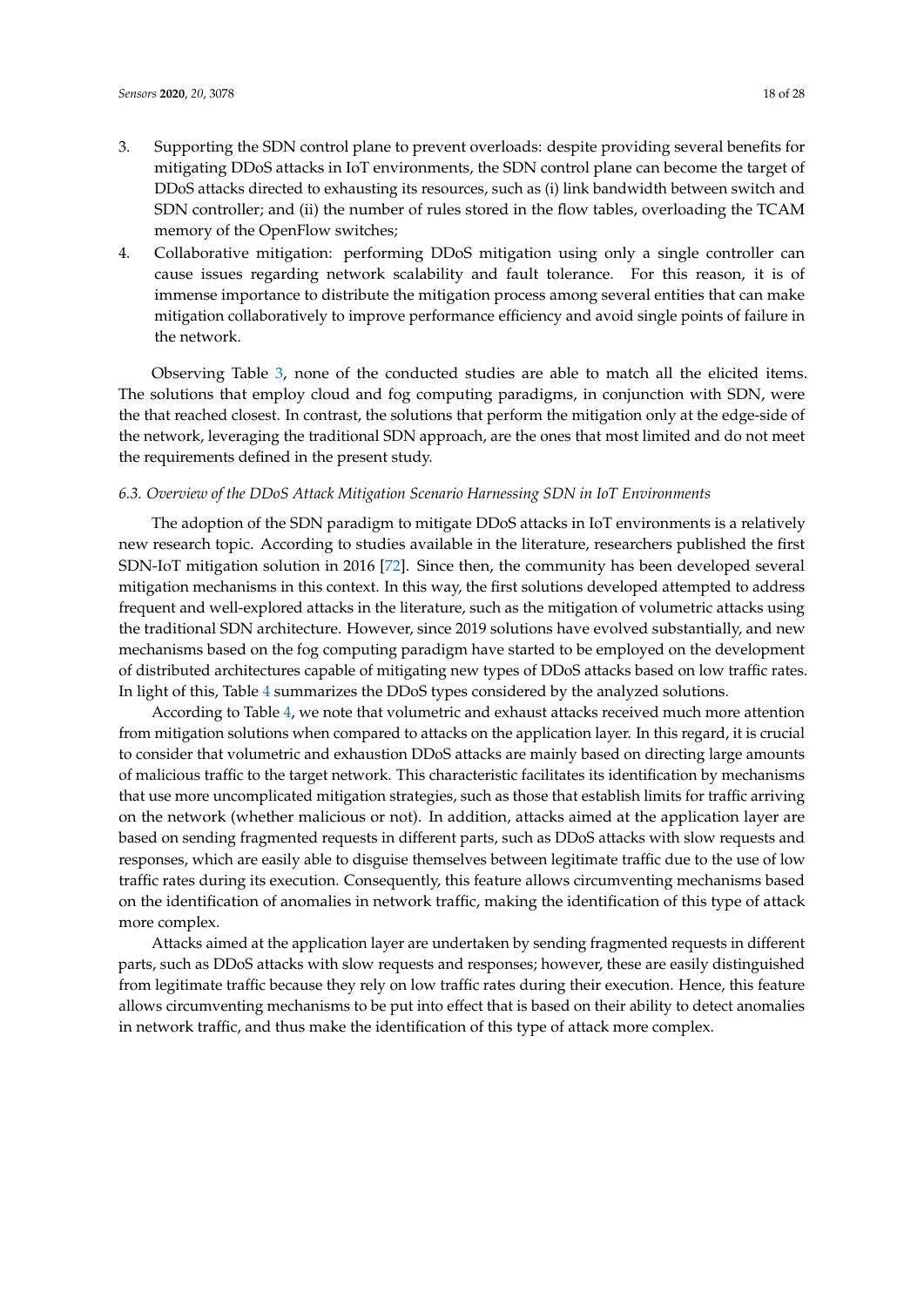- 3. Supporting the SDN control plane to prevent overloads: despite providing several benefits for mitigating DDoS attacks in IoT environments, the SDN control plane can become the target of DDoS attacks directed to exhausting its resources, such as (i) link bandwidth between switch and SDN controller; and (ii) the number of rules stored in the flow tables, overloading the TCAM memory of the OpenFlow switches;
- 4. Collaborative mitigation: performing DDoS mitigation using only a single controller can cause issues regarding network scalability and fault tolerance. For this reason, it is of immense importance to distribute the mitigation process among several entities that can make mitigation collaboratively to improve performance efficiency and avoid single points of failure in the network.

Observing Table [3,](#page-16-0) none of the conducted studies are able to match all the elicited items. The solutions that employ cloud and fog computing paradigms, in conjunction with SDN, were the that reached closest. In contrast, the solutions that perform the mitigation only at the edge-side of the network, leveraging the traditional SDN approach, are the ones that most limited and do not meet the requirements defined in the present study.

#### *6.3. Overview of the DDoS Attack Mitigation Scenario Harnessing SDN in IoT Environments*

The adoption of the SDN paradigm to mitigate DDoS attacks in IoT environments is a relatively new research topic. According to studies available in the literature, researchers published the first SDN-IoT mitigation solution in 2016 [\[72\]](#page-26-14). Since then, the community has been developed several mitigation mechanisms in this context. In this way, the first solutions developed attempted to address frequent and well-explored attacks in the literature, such as the mitigation of volumetric attacks using the traditional SDN architecture. However, since 2019 solutions have evolved substantially, and new mechanisms based on the fog computing paradigm have started to be employed on the development of distributed architectures capable of mitigating new types of DDoS attacks based on low traffic rates. In light of this, Table [4](#page-18-0) summarizes the DDoS types considered by the analyzed solutions.

According to Table [4,](#page-18-0) we note that volumetric and exhaust attacks received much more attention from mitigation solutions when compared to attacks on the application layer. In this regard, it is crucial to consider that volumetric and exhaustion DDoS attacks are mainly based on directing large amounts of malicious traffic to the target network. This characteristic facilitates its identification by mechanisms that use more uncomplicated mitigation strategies, such as those that establish limits for traffic arriving on the network (whether malicious or not). In addition, attacks aimed at the application layer are based on sending fragmented requests in different parts, such as DDoS attacks with slow requests and responses, which are easily able to disguise themselves between legitimate traffic due to the use of low traffic rates during its execution. Consequently, this feature allows circumventing mechanisms based on the identification of anomalies in network traffic, making the identification of this type of attack more complex.

Attacks aimed at the application layer are undertaken by sending fragmented requests in different parts, such as DDoS attacks with slow requests and responses; however, these are easily distinguished from legitimate traffic because they rely on low traffic rates during their execution. Hence, this feature allows circumventing mechanisms to be put into effect that is based on their ability to detect anomalies in network traffic, and thus make the identification of this type of attack more complex.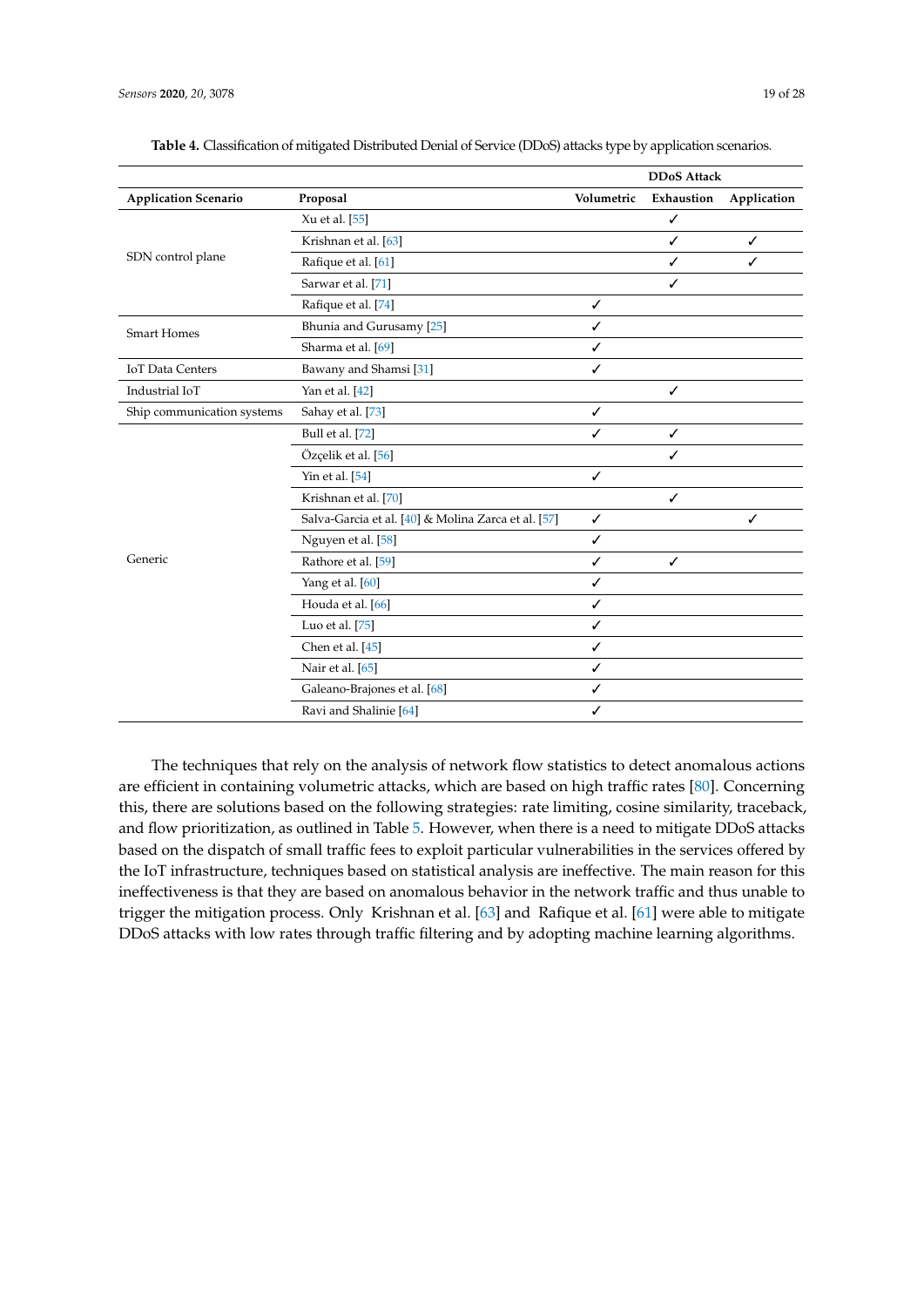|                             |                                                     |              | <b>DDoS Attack</b> |             |
|-----------------------------|-----------------------------------------------------|--------------|--------------------|-------------|
| <b>Application Scenario</b> | Proposal                                            | Volumetric   | Exhaustion         | Application |
|                             | Xu et al. [55]                                      |              | ✓                  |             |
|                             | Krishnan et al. [63]                                |              | ✓                  | ✓           |
| SDN control plane           | Rafique et al. [61]                                 |              | ✓                  | ✓           |
|                             | Sarwar et al. [71]                                  |              | $\checkmark$       |             |
|                             | Rafique et al. [74]                                 | ✓            |                    |             |
| <b>Smart Homes</b>          | Bhunia and Gurusamy [25]                            | ✓            |                    |             |
|                             | Sharma et al. [69]                                  | ✓            |                    |             |
| <b>IoT</b> Data Centers     | Bawany and Shamsi [31]                              | ✓            |                    |             |
| Industrial IoT              | Yan et al. [42]                                     |              | ✓                  |             |
| Ship communication systems  | Sahay et al. [73]                                   | ✓            |                    |             |
|                             | Bull et al. [72]                                    | ✓            | ✓                  |             |
|                             | Özçelik et al. [56]                                 |              | ✓                  |             |
|                             | Yin et al. [54]                                     | ✓            |                    |             |
|                             | Krishnan et al. [70]                                |              | ✓                  |             |
|                             | Salva-Garcia et al. [40] & Molina Zarca et al. [57] | $\checkmark$ |                    | ✓           |
|                             | Nguyen et al. [58]                                  | ✓            |                    |             |
| Generic                     | Rathore et al. [59]                                 | ✓            | $\checkmark$       |             |
|                             | Yang et al. [60]                                    | ✓            |                    |             |
|                             | Houda et al. [66]                                   | ✓            |                    |             |
|                             | Luo et al. $[75]$                                   | ✓            |                    |             |
|                             | Chen et al. [45]                                    | ✓            |                    |             |
|                             | Nair et al. [65]                                    | ✓            |                    |             |
|                             | Galeano-Brajones et al. [68]                        | ✓            |                    |             |
|                             | Ravi and Shalinie [64]                              | ✓            |                    |             |

<span id="page-18-0"></span>**Table 4.** Classification of mitigated Distributed Denial of Service (DDoS) attacks type by application scenarios.

The techniques that rely on the analysis of network flow statistics to detect anomalous actions are efficient in containing volumetric attacks, which are based on high traffic rates [\[80\]](#page-27-3). Concerning this, there are solutions based on the following strategies: rate limiting, cosine similarity, traceback, and flow prioritization, as outlined in Table [5.](#page-19-0) However, when there is a need to mitigate DDoS attacks based on the dispatch of small traffic fees to exploit particular vulnerabilities in the services offered by the IoT infrastructure, techniques based on statistical analysis are ineffective. The main reason for this ineffectiveness is that they are based on anomalous behavior in the network traffic and thus unable to trigger the mitigation process. Only Krishnan et al. [\[63\]](#page-26-5) and Rafique et al. [\[61\]](#page-26-3) were able to mitigate DDoS attacks with low rates through traffic filtering and by adopting machine learning algorithms.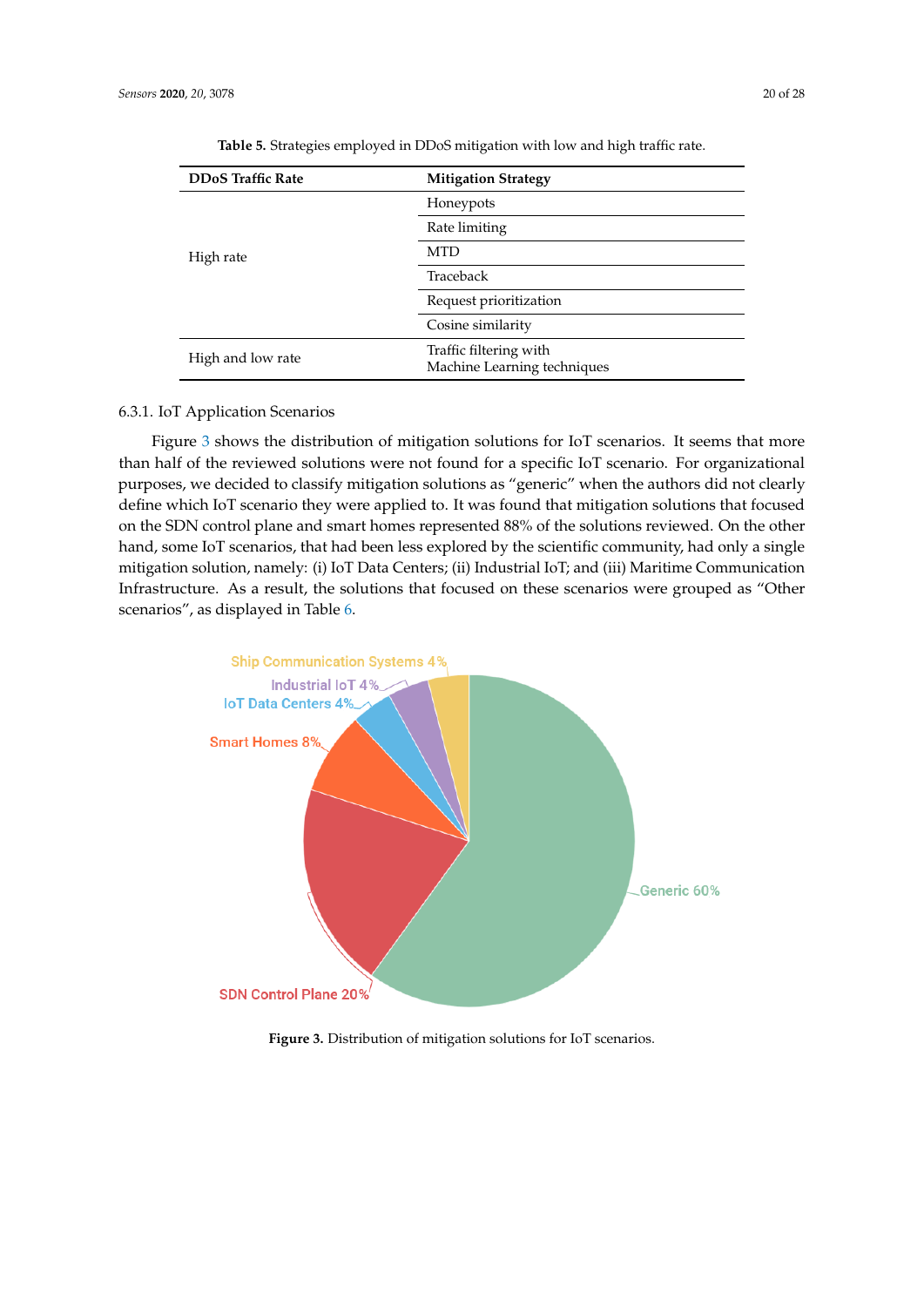<span id="page-19-0"></span>

| <b>DDoS Traffic Rate</b> | <b>Mitigation Strategy</b>                            |  |
|--------------------------|-------------------------------------------------------|--|
|                          | Honeypots                                             |  |
|                          | Rate limiting                                         |  |
| High rate                | <b>MTD</b>                                            |  |
|                          | Traceback                                             |  |
|                          | Request prioritization                                |  |
|                          | Cosine similarity                                     |  |
| High and low rate        | Traffic filtering with<br>Machine Learning techniques |  |

**Table 5.** Strategies employed in DDoS mitigation with low and high traffic rate.

# 6.3.1. IoT Application Scenarios

Figure [3](#page-19-1) shows the distribution of mitigation solutions for IoT scenarios. It seems that more than half of the reviewed solutions were not found for a specific IoT scenario. For organizational purposes, we decided to classify mitigation solutions as "generic" when the authors did not clearly define which IoT scenario they were applied to. It was found that mitigation solutions that focused on the SDN control plane and smart homes represented 88% of the solutions reviewed. On the other hand, some IoT scenarios, that had been less explored by the scientific community, had only a single mitigation solution, namely: (i) IoT Data Centers; (ii) Industrial IoT; and (iii) Maritime Communication Infrastructure. As a result, the solutions that focused on these scenarios were grouped as "Other scenarios", as displayed in Table [6.](#page-20-0)

<span id="page-19-1"></span>

**Figure 3.** Distribution of mitigation solutions for IoT scenarios.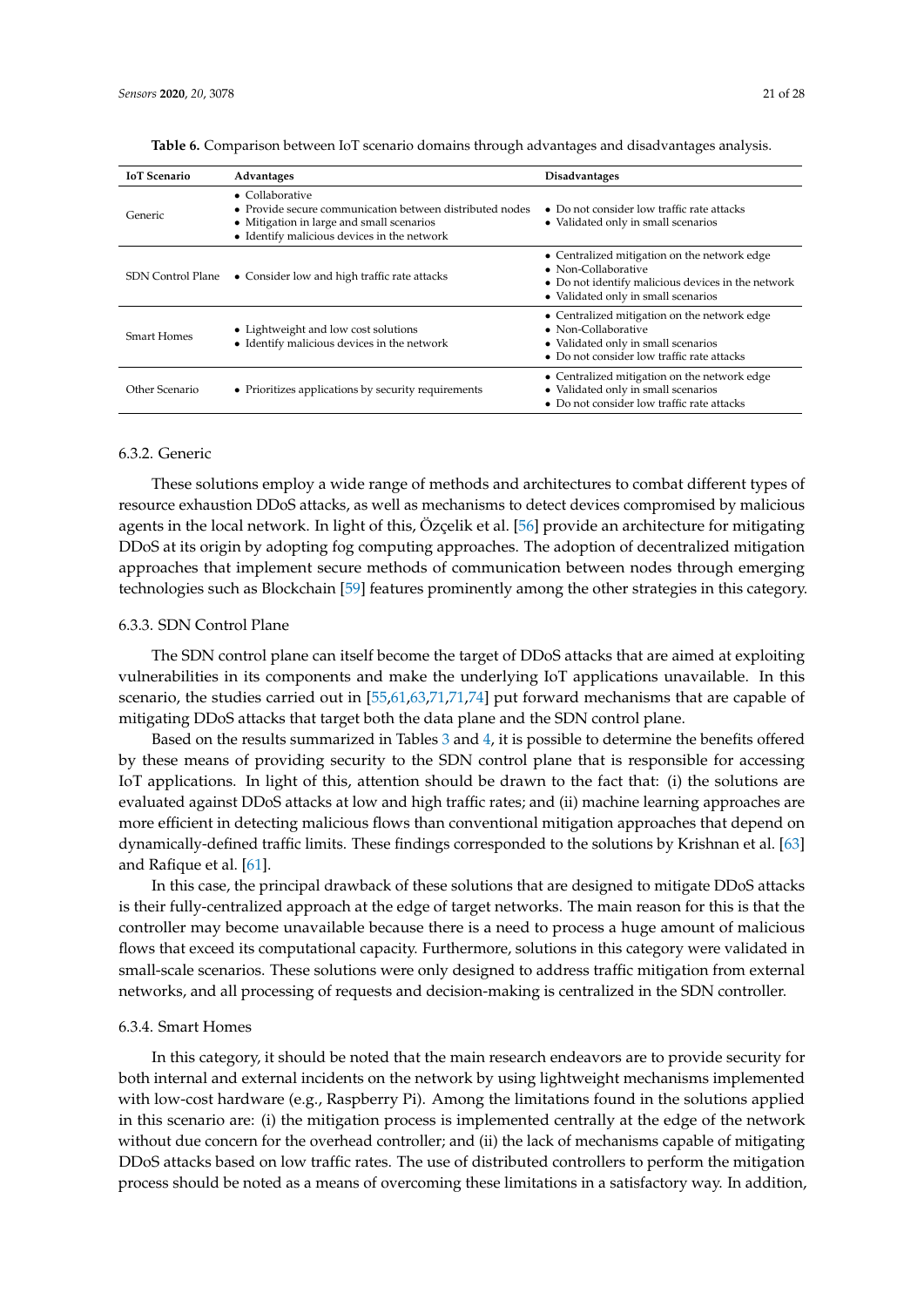| <b>IoT</b> Scenario      | Advantages                                                                                                                                                                      | <b>Disadvantages</b>                                                                                                                                                     |
|--------------------------|---------------------------------------------------------------------------------------------------------------------------------------------------------------------------------|--------------------------------------------------------------------------------------------------------------------------------------------------------------------------|
| Generic                  | $\bullet$ Collaborative<br>• Provide secure communication between distributed nodes<br>• Mitigation in large and small scenarios<br>• Identify malicious devices in the network | $\bullet$ Do not consider low traffic rate attacks<br>• Validated only in small scenarios                                                                                |
| <b>SDN Control Plane</b> | • Consider low and high traffic rate attacks                                                                                                                                    | • Centralized mitigation on the network edge<br>$\bullet$ Non-Collaborative<br>• Do not identify malicious devices in the network<br>• Validated only in small scenarios |
| <b>Smart Homes</b>       | • Lightweight and low cost solutions<br>• Identify malicious devices in the network                                                                                             | • Centralized mitigation on the network edge<br>• Non-Collaborative<br>• Validated only in small scenarios<br>• Do not consider low traffic rate attacks                 |
| Other Scenario           | • Prioritizes applications by security requirements                                                                                                                             | • Centralized mitigation on the network edge<br>• Validated only in small scenarios<br>• Do not consider low traffic rate attacks                                        |

<span id="page-20-0"></span>**Table 6.** Comparison between IoT scenario domains through advantages and disadvantages analysis.

# 6.3.2. Generic

These solutions employ a wide range of methods and architectures to combat different types of resource exhaustion DDoS attacks, as well as mechanisms to detect devices compromised by malicious agents in the local network. In light of this, Özçelik et al. [\[56\]](#page-25-19) provide an architecture for mitigating DDoS at its origin by adopting fog computing approaches. The adoption of decentralized mitigation approaches that implement secure methods of communication between nodes through emerging technologies such as Blockchain [\[59\]](#page-26-1) features prominently among the other strategies in this category.

#### 6.3.3. SDN Control Plane

The SDN control plane can itself become the target of DDoS attacks that are aimed at exploiting vulnerabilities in its components and make the underlying IoT applications unavailable. In this scenario, the studies carried out in [\[55](#page-25-18)[,61](#page-26-3)[,63](#page-26-5)[,71,71](#page-26-13)[,74\]](#page-26-16) put forward mechanisms that are capable of mitigating DDoS attacks that target both the data plane and the SDN control plane.

Based on the results summarized in Tables [3](#page-16-0) and [4,](#page-18-0) it is possible to determine the benefits offered by these means of providing security to the SDN control plane that is responsible for accessing IoT applications. In light of this, attention should be drawn to the fact that: (i) the solutions are evaluated against DDoS attacks at low and high traffic rates; and (ii) machine learning approaches are more efficient in detecting malicious flows than conventional mitigation approaches that depend on dynamically-defined traffic limits. These findings corresponded to the solutions by Krishnan et al. [\[63\]](#page-26-5) and Rafique et al. [\[61\]](#page-26-3).

In this case, the principal drawback of these solutions that are designed to mitigate DDoS attacks is their fully-centralized approach at the edge of target networks. The main reason for this is that the controller may become unavailable because there is a need to process a huge amount of malicious flows that exceed its computational capacity. Furthermore, solutions in this category were validated in small-scale scenarios. These solutions were only designed to address traffic mitigation from external networks, and all processing of requests and decision-making is centralized in the SDN controller.

#### 6.3.4. Smart Homes

In this category, it should be noted that the main research endeavors are to provide security for both internal and external incidents on the network by using lightweight mechanisms implemented with low-cost hardware (e.g., Raspberry Pi). Among the limitations found in the solutions applied in this scenario are: (i) the mitigation process is implemented centrally at the edge of the network without due concern for the overhead controller; and (ii) the lack of mechanisms capable of mitigating DDoS attacks based on low traffic rates. The use of distributed controllers to perform the mitigation process should be noted as a means of overcoming these limitations in a satisfactory way. In addition,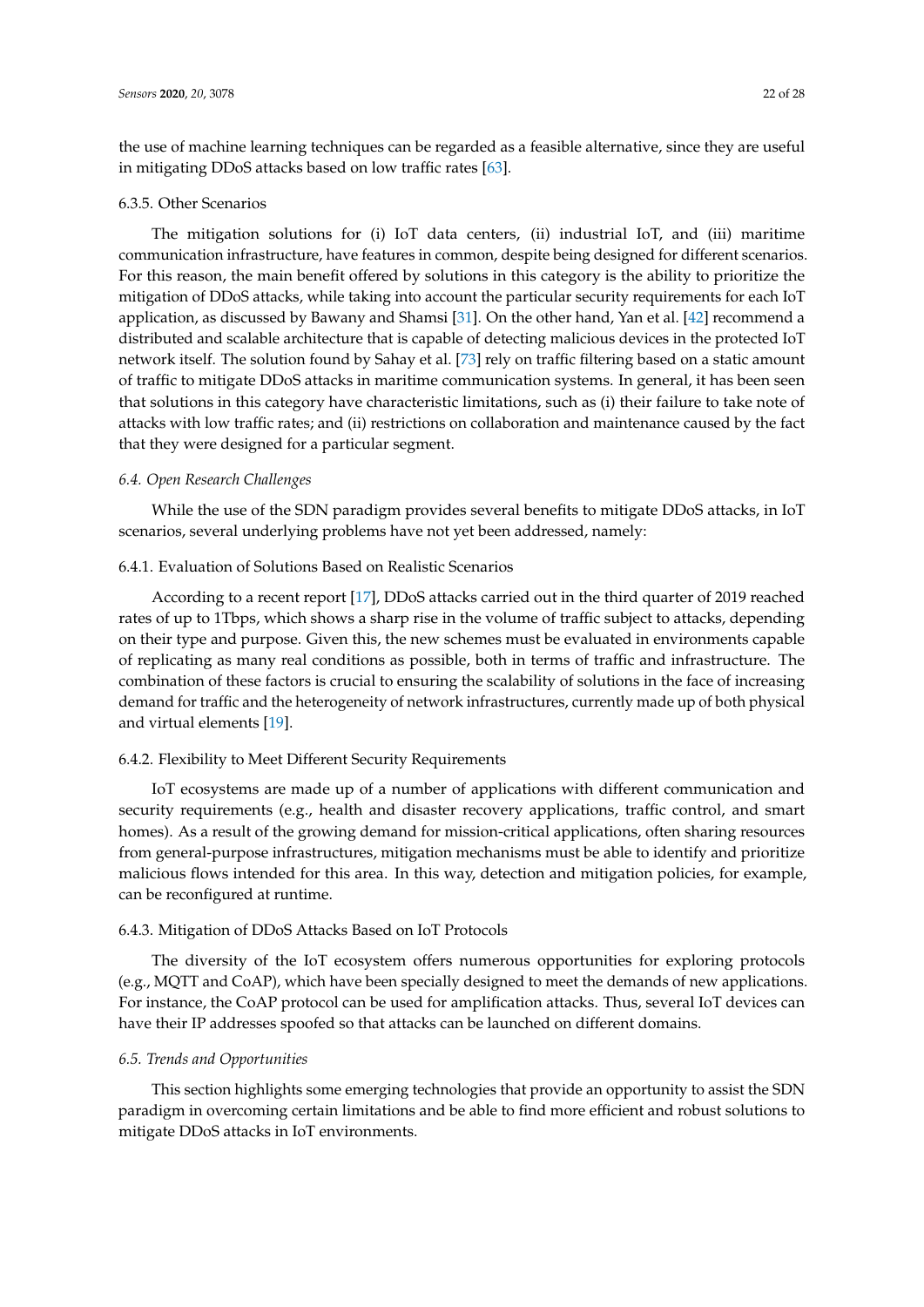the use of machine learning techniques can be regarded as a feasible alternative, since they are useful in mitigating DDoS attacks based on low traffic rates [\[63\]](#page-26-5).

#### 6.3.5. Other Scenarios

The mitigation solutions for (i) IoT data centers, (ii) industrial IoT, and (iii) maritime communication infrastructure, have features in common, despite being designed for different scenarios. For this reason, the main benefit offered by solutions in this category is the ability to prioritize the mitigation of DDoS attacks, while taking into account the particular security requirements for each IoT application, as discussed by Bawany and Shamsi [\[31\]](#page-24-16). On the other hand, Yan et al. [\[42\]](#page-25-5) recommend a distributed and scalable architecture that is capable of detecting malicious devices in the protected IoT network itself. The solution found by Sahay et al. [\[73\]](#page-26-15) rely on traffic filtering based on a static amount of traffic to mitigate DDoS attacks in maritime communication systems. In general, it has been seen that solutions in this category have characteristic limitations, such as (i) their failure to take note of attacks with low traffic rates; and (ii) restrictions on collaboration and maintenance caused by the fact that they were designed for a particular segment.

#### *6.4. Open Research Challenges*

While the use of the SDN paradigm provides several benefits to mitigate DDoS attacks, in IoT scenarios, several underlying problems have not yet been addressed, namely:

# 6.4.1. Evaluation of Solutions Based on Realistic Scenarios

According to a recent report [\[17\]](#page-24-2), DDoS attacks carried out in the third quarter of 2019 reached rates of up to 1Tbps, which shows a sharp rise in the volume of traffic subject to attacks, depending on their type and purpose. Given this, the new schemes must be evaluated in environments capable of replicating as many real conditions as possible, both in terms of traffic and infrastructure. The combination of these factors is crucial to ensuring the scalability of solutions in the face of increasing demand for traffic and the heterogeneity of network infrastructures, currently made up of both physical and virtual elements [\[19\]](#page-24-4).

#### 6.4.2. Flexibility to Meet Different Security Requirements

IoT ecosystems are made up of a number of applications with different communication and security requirements (e.g., health and disaster recovery applications, traffic control, and smart homes). As a result of the growing demand for mission-critical applications, often sharing resources from general-purpose infrastructures, mitigation mechanisms must be able to identify and prioritize malicious flows intended for this area. In this way, detection and mitigation policies, for example, can be reconfigured at runtime.

## 6.4.3. Mitigation of DDoS Attacks Based on IoT Protocols

The diversity of the IoT ecosystem offers numerous opportunities for exploring protocols (e.g., MQTT and CoAP), which have been specially designed to meet the demands of new applications. For instance, the CoAP protocol can be used for amplification attacks. Thus, several IoT devices can have their IP addresses spoofed so that attacks can be launched on different domains.

# *6.5. Trends and Opportunities*

This section highlights some emerging technologies that provide an opportunity to assist the SDN paradigm in overcoming certain limitations and be able to find more efficient and robust solutions to mitigate DDoS attacks in IoT environments.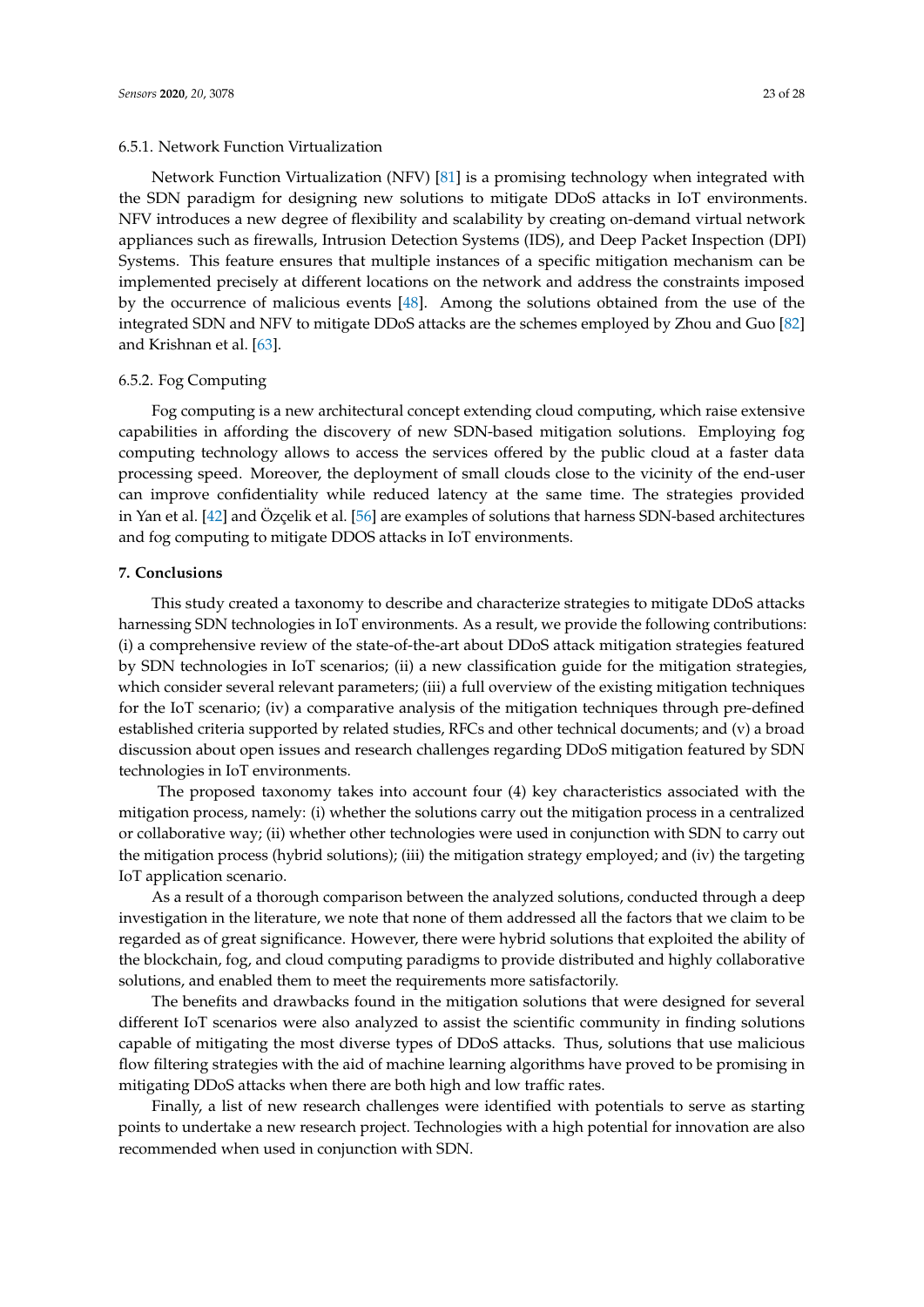# 6.5.1. Network Function Virtualization

Network Function Virtualization (NFV) [\[81\]](#page-27-4) is a promising technology when integrated with the SDN paradigm for designing new solutions to mitigate DDoS attacks in IoT environments. NFV introduces a new degree of flexibility and scalability by creating on-demand virtual network appliances such as firewalls, Intrusion Detection Systems (IDS), and Deep Packet Inspection (DPI) Systems. This feature ensures that multiple instances of a specific mitigation mechanism can be implemented precisely at different locations on the network and address the constraints imposed by the occurrence of malicious events [\[48\]](#page-25-11). Among the solutions obtained from the use of the integrated SDN and NFV to mitigate DDoS attacks are the schemes employed by Zhou and Guo [\[82\]](#page-27-5) and Krishnan et al. [\[63\]](#page-26-5).

#### 6.5.2. Fog Computing

Fog computing is a new architectural concept extending cloud computing, which raise extensive capabilities in affording the discovery of new SDN-based mitigation solutions. Employing fog computing technology allows to access the services offered by the public cloud at a faster data processing speed. Moreover, the deployment of small clouds close to the vicinity of the end-user can improve confidentiality while reduced latency at the same time. The strategies provided in Yan et al. [\[42\]](#page-25-5) and Özçelik et al. [\[56\]](#page-25-19) are examples of solutions that harness SDN-based architectures and fog computing to mitigate DDOS attacks in IoT environments.

# <span id="page-22-0"></span>**7. Conclusions**

This study created a taxonomy to describe and characterize strategies to mitigate DDoS attacks harnessing SDN technologies in IoT environments. As a result, we provide the following contributions: (i) a comprehensive review of the state-of-the-art about DDoS attack mitigation strategies featured by SDN technologies in IoT scenarios; (ii) a new classification guide for the mitigation strategies, which consider several relevant parameters; (iii) a full overview of the existing mitigation techniques for the IoT scenario; (iv) a comparative analysis of the mitigation techniques through pre-defined established criteria supported by related studies, RFCs and other technical documents; and (v) a broad discussion about open issues and research challenges regarding DDoS mitigation featured by SDN technologies in IoT environments.

The proposed taxonomy takes into account four (4) key characteristics associated with the mitigation process, namely: (i) whether the solutions carry out the mitigation process in a centralized or collaborative way; (ii) whether other technologies were used in conjunction with SDN to carry out the mitigation process (hybrid solutions); (iii) the mitigation strategy employed; and (iv) the targeting IoT application scenario.

As a result of a thorough comparison between the analyzed solutions, conducted through a deep investigation in the literature, we note that none of them addressed all the factors that we claim to be regarded as of great significance. However, there were hybrid solutions that exploited the ability of the blockchain, fog, and cloud computing paradigms to provide distributed and highly collaborative solutions, and enabled them to meet the requirements more satisfactorily.

The benefits and drawbacks found in the mitigation solutions that were designed for several different IoT scenarios were also analyzed to assist the scientific community in finding solutions capable of mitigating the most diverse types of DDoS attacks. Thus, solutions that use malicious flow filtering strategies with the aid of machine learning algorithms have proved to be promising in mitigating DDoS attacks when there are both high and low traffic rates.

Finally, a list of new research challenges were identified with potentials to serve as starting points to undertake a new research project. Technologies with a high potential for innovation are also recommended when used in conjunction with SDN.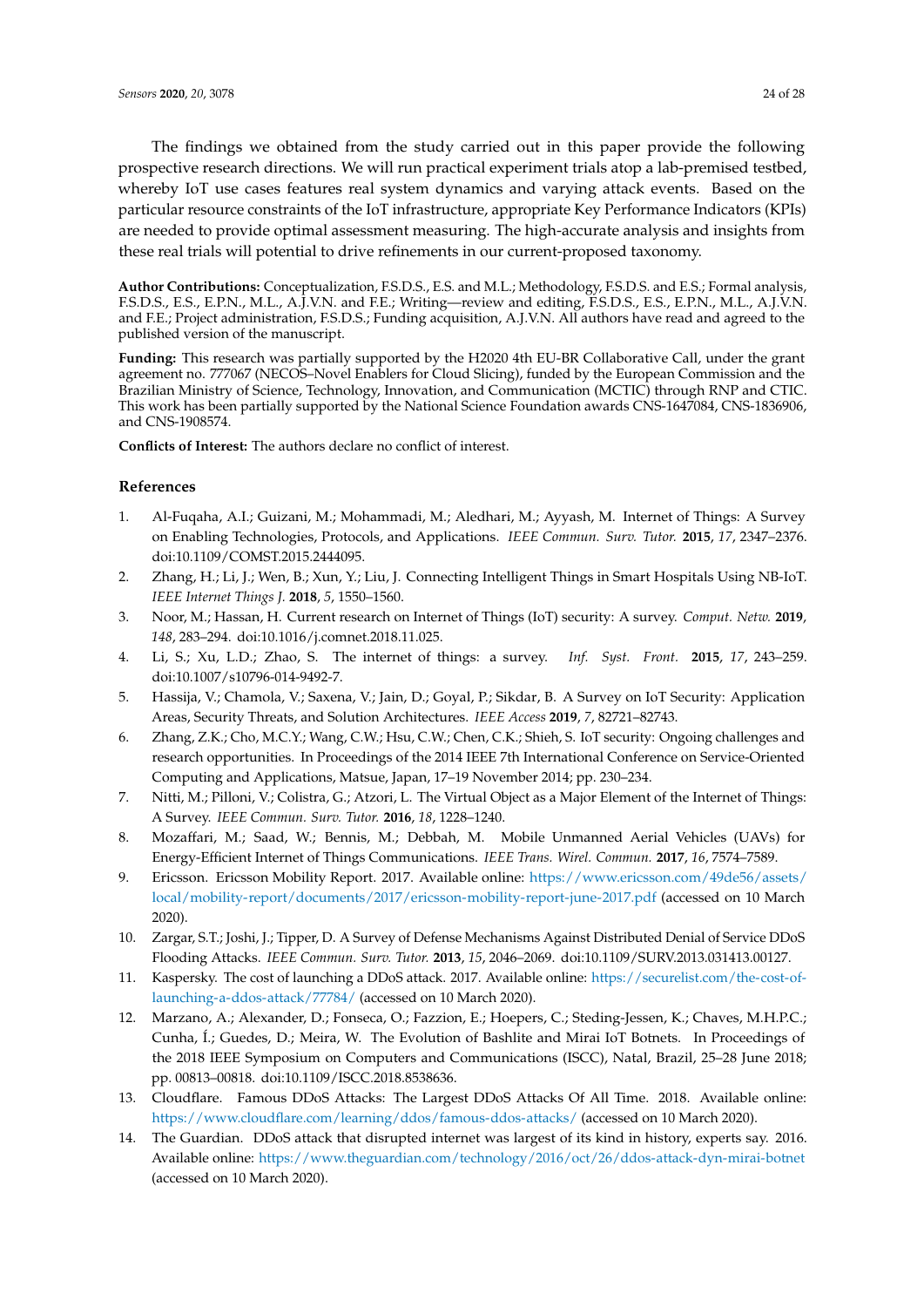The findings we obtained from the study carried out in this paper provide the following prospective research directions. We will run practical experiment trials atop a lab-premised testbed, whereby IoT use cases features real system dynamics and varying attack events. Based on the particular resource constraints of the IoT infrastructure, appropriate Key Performance Indicators (KPIs) are needed to provide optimal assessment measuring. The high-accurate analysis and insights from these real trials will potential to drive refinements in our current-proposed taxonomy.

**Author Contributions:** Conceptualization, F.S.D.S., E.S. and M.L.; Methodology, F.S.D.S. and E.S.; Formal analysis, F.S.D.S., E.S., E.P.N., M.L., A.J.V.N. and F.E.; Writing—review and editing, F.S.D.S., E.S., E.P.N., M.L., A.J.V.N. and F.E.; Project administration, F.S.D.S.; Funding acquisition, A.J.V.N. All authors have read and agreed to the published version of the manuscript.

**Funding:** This research was partially supported by the H2020 4th EU-BR Collaborative Call, under the grant agreement no. 777067 (NECOS–Novel Enablers for Cloud Slicing), funded by the European Commission and the Brazilian Ministry of Science, Technology, Innovation, and Communication (MCTIC) through RNP and CTIC. This work has been partially supported by the National Science Foundation awards CNS-1647084, CNS-1836906, and CNS-1908574.

**Conflicts of Interest:** The authors declare no conflict of interest.

# **References**

- <span id="page-23-0"></span>1. Al-Fuqaha, A.I.; Guizani, M.; Mohammadi, M.; Aledhari, M.; Ayyash, M. Internet of Things: A Survey on Enabling Technologies, Protocols, and Applications. *IEEE Commun. Surv. Tutor.* **2015**, *17*, 2347–2376. doi[:10.1109/COMST.2015.2444095.](https://doi.org/10.1109/COMST.2015.2444095)
- <span id="page-23-1"></span>2. Zhang, H.; Li, J.; Wen, B.; Xun, Y.; Liu, J. Connecting Intelligent Things in Smart Hospitals Using NB-IoT. *IEEE Internet Things J.* **2018**, *5*, 1550–1560.
- <span id="page-23-2"></span>3. Noor, M.; Hassan, H. Current research on Internet of Things (IoT) security: A survey. *Comput. Netw.* **2019**, *148*, 283–294. doi[:10.1016/j.comnet.2018.11.025.](https://doi.org/10.1016/j.comnet.2018.11.025)
- <span id="page-23-3"></span>4. Li, S.; Xu, L.D.; Zhao, S. The internet of things: a survey. *Inf. Syst. Front.* **2015**, *17*, 243–259. doi[:10.1007/s10796-014-9492-7.](https://doi.org/10.1007/s10796-014-9492-7)
- <span id="page-23-4"></span>5. Hassija, V.; Chamola, V.; Saxena, V.; Jain, D.; Goyal, P.; Sikdar, B. A Survey on IoT Security: Application Areas, Security Threats, and Solution Architectures. *IEEE Access* **2019**, *7*, 82721–82743.
- <span id="page-23-5"></span>6. Zhang, Z.K.; Cho, M.C.Y.; Wang, C.W.; Hsu, C.W.; Chen, C.K.; Shieh, S. IoT security: Ongoing challenges and research opportunities. In Proceedings of the 2014 IEEE 7th International Conference on Service-Oriented Computing and Applications, Matsue, Japan, 17–19 November 2014; pp. 230–234.
- <span id="page-23-6"></span>7. Nitti, M.; Pilloni, V.; Colistra, G.; Atzori, L. The Virtual Object as a Major Element of the Internet of Things: A Survey. *IEEE Commun. Surv. Tutor.* **2016**, *18*, 1228–1240.
- <span id="page-23-7"></span>8. Mozaffari, M.; Saad, W.; Bennis, M.; Debbah, M. Mobile Unmanned Aerial Vehicles (UAVs) for Energy-Efficient Internet of Things Communications. *IEEE Trans. Wirel. Commun.* **2017**, *16*, 7574–7589.
- <span id="page-23-8"></span>9. Ericsson. Ericsson Mobility Report. 2017. Available online: [https://www.ericsson.com/49de56/assets/](https://www.ericsson.com/49de56/assets/local/mobility-report/documents/2017/ericsson-mobility-report-june-2017.pdf) [local/mobility-report/documents/2017/ericsson-mobility-report-june-2017.pdf](https://www.ericsson.com/49de56/assets/local/mobility-report/documents/2017/ericsson-mobility-report-june-2017.pdf) (accessed on 10 March 2020).
- <span id="page-23-9"></span>10. Zargar, S.T.; Joshi, J.; Tipper, D. A Survey of Defense Mechanisms Against Distributed Denial of Service DDoS Flooding Attacks. *IEEE Commun. Surv. Tutor.* **2013**, *15*, 2046–2069. doi[:10.1109/SURV.2013.031413.00127.](https://doi.org/10.1109/SURV.2013.031413.00127)
- <span id="page-23-10"></span>11. Kaspersky. The cost of launching a DDoS attack. 2017. Available online: [https://securelist.com/the-cost-of](https://securelist.com/the-cost-of-launching-a-ddos- attack/77784/)[launching-a-ddos-attack/77784/](https://securelist.com/the-cost-of-launching-a-ddos- attack/77784/) (accessed on 10 March 2020).
- <span id="page-23-11"></span>12. Marzano, A.; Alexander, D.; Fonseca, O.; Fazzion, E.; Hoepers, C.; Steding-Jessen, K.; Chaves, M.H.P.C.; Cunha, Í.; Guedes, D.; Meira, W. The Evolution of Bashlite and Mirai IoT Botnets. In Proceedings of the 2018 IEEE Symposium on Computers and Communications (ISCC), Natal, Brazil, 25–28 June 2018; pp. 00813–00818. doi[:10.1109/ISCC.2018.8538636.](https://doi.org/10.1109/ISCC.2018.8538636)
- <span id="page-23-12"></span>13. Cloudflare. Famous DDoS Attacks: The Largest DDoS Attacks Of All Time. 2018. Available online: <https://www.cloudflare.com/learning/ddos/famous-ddos-attacks/> (accessed on 10 March 2020).
- <span id="page-23-13"></span>14. The Guardian. DDoS attack that disrupted internet was largest of its kind in history, experts say. 2016. Available online: <https://www.theguardian.com/technology/2016/oct/26/ddos-attack-dyn-mirai-botnet> (accessed on 10 March 2020).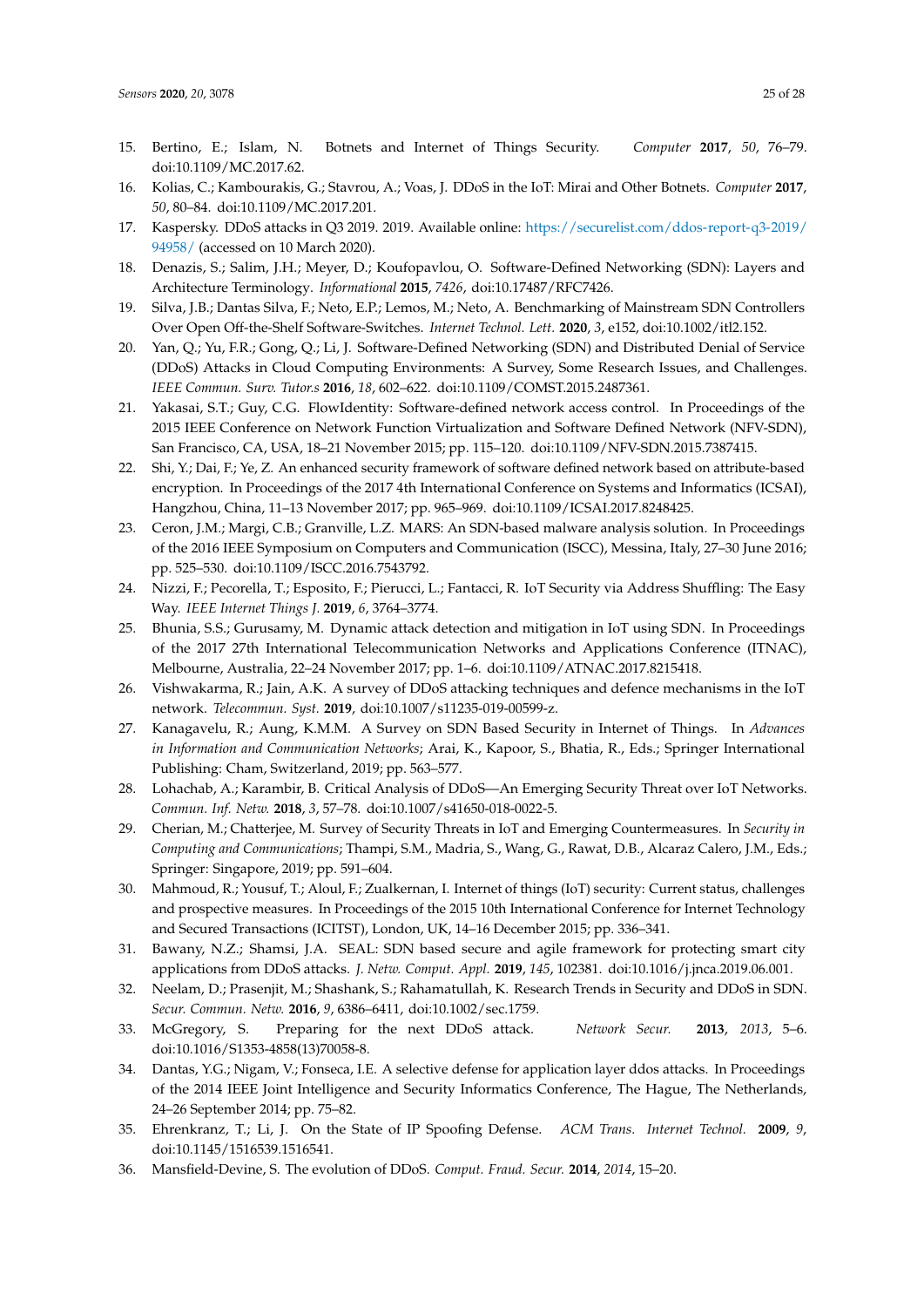- <span id="page-24-0"></span>15. Bertino, E.; Islam, N. Botnets and Internet of Things Security. *Computer* **2017**, *50*, 76–79. doi[:10.1109/MC.2017.62.](https://doi.org/10.1109/MC.2017.62)
- <span id="page-24-1"></span>16. Kolias, C.; Kambourakis, G.; Stavrou, A.; Voas, J. DDoS in the IoT: Mirai and Other Botnets. *Computer* **2017**, *50*, 80–84. doi[:10.1109/MC.2017.201.](https://doi.org/10.1109/MC.2017.201)
- <span id="page-24-2"></span>17. Kaspersky. DDoS attacks in Q3 2019. 2019. Available online: [https://securelist.com/ddos-report-q3-2019/](https://securelist.com/ddos-report-q3-2019/94958/) [94958/](https://securelist.com/ddos-report-q3-2019/94958/) (accessed on 10 March 2020).
- <span id="page-24-3"></span>18. Denazis, S.; Salim, J.H.; Meyer, D.; Koufopavlou, O. Software-Defined Networking (SDN): Layers and Architecture Terminology. *Informational* **2015**, *7426*, doi[:10.17487/RFC7426.](https://doi.org/10.17487/RFC7426)
- <span id="page-24-4"></span>19. Silva, J.B.; Dantas Silva, F.; Neto, E.P.; Lemos, M.; Neto, A. Benchmarking of Mainstream SDN Controllers Over Open Off-the-Shelf Software-Switches. *Internet Technol. Lett.* **2020**, *3*, e152, doi[:10.1002/itl2.152.](https://doi.org/10.1002/itl2.152)
- <span id="page-24-5"></span>20. Yan, Q.; Yu, F.R.; Gong, Q.; Li, J. Software-Defined Networking (SDN) and Distributed Denial of Service (DDoS) Attacks in Cloud Computing Environments: A Survey, Some Research Issues, and Challenges. *IEEE Commun. Surv. Tutor.s* **2016**, *18*, 602–622. doi[:10.1109/COMST.2015.2487361.](https://doi.org/10.1109/COMST.2015.2487361)
- <span id="page-24-6"></span>21. Yakasai, S.T.; Guy, C.G. FlowIdentity: Software-defined network access control. In Proceedings of the 2015 IEEE Conference on Network Function Virtualization and Software Defined Network (NFV-SDN), San Francisco, CA, USA, 18–21 November 2015; pp. 115–120. doi[:10.1109/NFV-SDN.2015.7387415.](https://doi.org/10.1109/NFV-SDN.2015.7387415)
- <span id="page-24-7"></span>22. Shi, Y.; Dai, F.; Ye, Z. An enhanced security framework of software defined network based on attribute-based encryption. In Proceedings of the 2017 4th International Conference on Systems and Informatics (ICSAI), Hangzhou, China, 11–13 November 2017; pp. 965–969. doi[:10.1109/ICSAI.2017.8248425.](https://doi.org/10.1109/ICSAI.2017.8248425)
- <span id="page-24-8"></span>23. Ceron, J.M.; Margi, C.B.; Granville, L.Z. MARS: An SDN-based malware analysis solution. In Proceedings of the 2016 IEEE Symposium on Computers and Communication (ISCC), Messina, Italy, 27–30 June 2016; pp. 525–530. doi[:10.1109/ISCC.2016.7543792.](https://doi.org/10.1109/ISCC.2016.7543792)
- <span id="page-24-9"></span>24. Nizzi, F.; Pecorella, T.; Esposito, F.; Pierucci, L.; Fantacci, R. IoT Security via Address Shuffling: The Easy Way. *IEEE Internet Things J.* **2019**, *6*, 3764–3774.
- <span id="page-24-10"></span>25. Bhunia, S.S.; Gurusamy, M. Dynamic attack detection and mitigation in IoT using SDN. In Proceedings of the 2017 27th International Telecommunication Networks and Applications Conference (ITNAC), Melbourne, Australia, 22–24 November 2017; pp. 1–6. doi[:10.1109/ATNAC.2017.8215418.](https://doi.org/10.1109/ATNAC.2017.8215418)
- <span id="page-24-11"></span>26. Vishwakarma, R.; Jain, A.K. A survey of DDoS attacking techniques and defence mechanisms in the IoT network. *Telecommun. Syst.* **2019**, doi[:10.1007/s11235-019-00599-z.](https://doi.org/10.1007/s11235-019-00599-z)
- <span id="page-24-12"></span>27. Kanagavelu, R.; Aung, K.M.M. A Survey on SDN Based Security in Internet of Things. In *Advances in Information and Communication Networks*; Arai, K., Kapoor, S., Bhatia, R., Eds.; Springer International Publishing: Cham, Switzerland, 2019; pp. 563–577.
- <span id="page-24-13"></span>28. Lohachab, A.; Karambir, B. Critical Analysis of DDoS—An Emerging Security Threat over IoT Networks. *Commun. Inf. Netw.* **2018**, *3*, 57–78. doi[:10.1007/s41650-018-0022-5.](https://doi.org/10.1007/s41650-018-0022-5)
- <span id="page-24-14"></span>29. Cherian, M.; Chatterjee, M. Survey of Security Threats in IoT and Emerging Countermeasures. In *Security in Computing and Communications*; Thampi, S.M., Madria, S., Wang, G., Rawat, D.B., Alcaraz Calero, J.M., Eds.; Springer: Singapore, 2019; pp. 591–604.
- <span id="page-24-15"></span>30. Mahmoud, R.; Yousuf, T.; Aloul, F.; Zualkernan, I. Internet of things (IoT) security: Current status, challenges and prospective measures. In Proceedings of the 2015 10th International Conference for Internet Technology and Secured Transactions (ICITST), London, UK, 14–16 December 2015; pp. 336–341.
- <span id="page-24-16"></span>31. Bawany, N.Z.; Shamsi, J.A. SEAL: SDN based secure and agile framework for protecting smart city applications from DDoS attacks. *J. Netw. Comput. Appl.* **2019**, *145*, 102381. doi[:10.1016/j.jnca.2019.06.001.](https://doi.org/https://doi.org/10.1016/j.jnca.2019.06.001)
- <span id="page-24-17"></span>32. Neelam, D.; Prasenjit, M.; Shashank, S.; Rahamatullah, K. Research Trends in Security and DDoS in SDN. *Secur. Commun. Netw.* **2016**, *9*, 6386–6411, doi[:10.1002/sec.1759.](https://doi.org/10.1002/sec.1759)
- <span id="page-24-18"></span>33. McGregory, S. Preparing for the next DDoS attack. *Network Secur.* **2013**, *2013*, 5–6. doi[:10.1016/S1353-4858\(13\)70058-8.](https://doi.org/https://doi.org/10.1016/S1353-4858(13)70058-8)
- <span id="page-24-19"></span>34. Dantas, Y.G.; Nigam, V.; Fonseca, I.E. A selective defense for application layer ddos attacks. In Proceedings of the 2014 IEEE Joint Intelligence and Security Informatics Conference, The Hague, The Netherlands, 24–26 September 2014; pp. 75–82.
- <span id="page-24-20"></span>35. Ehrenkranz, T.; Li, J. On the State of IP Spoofing Defense. *ACM Trans. Internet Technol.* **2009**, *9*, doi[:10.1145/1516539.1516541.](https://doi.org/10.1145/1516539.1516541)
- <span id="page-24-21"></span>36. Mansfield-Devine, S. The evolution of DDoS. *Comput. Fraud. Secur.* **2014**, *2014*, 15–20.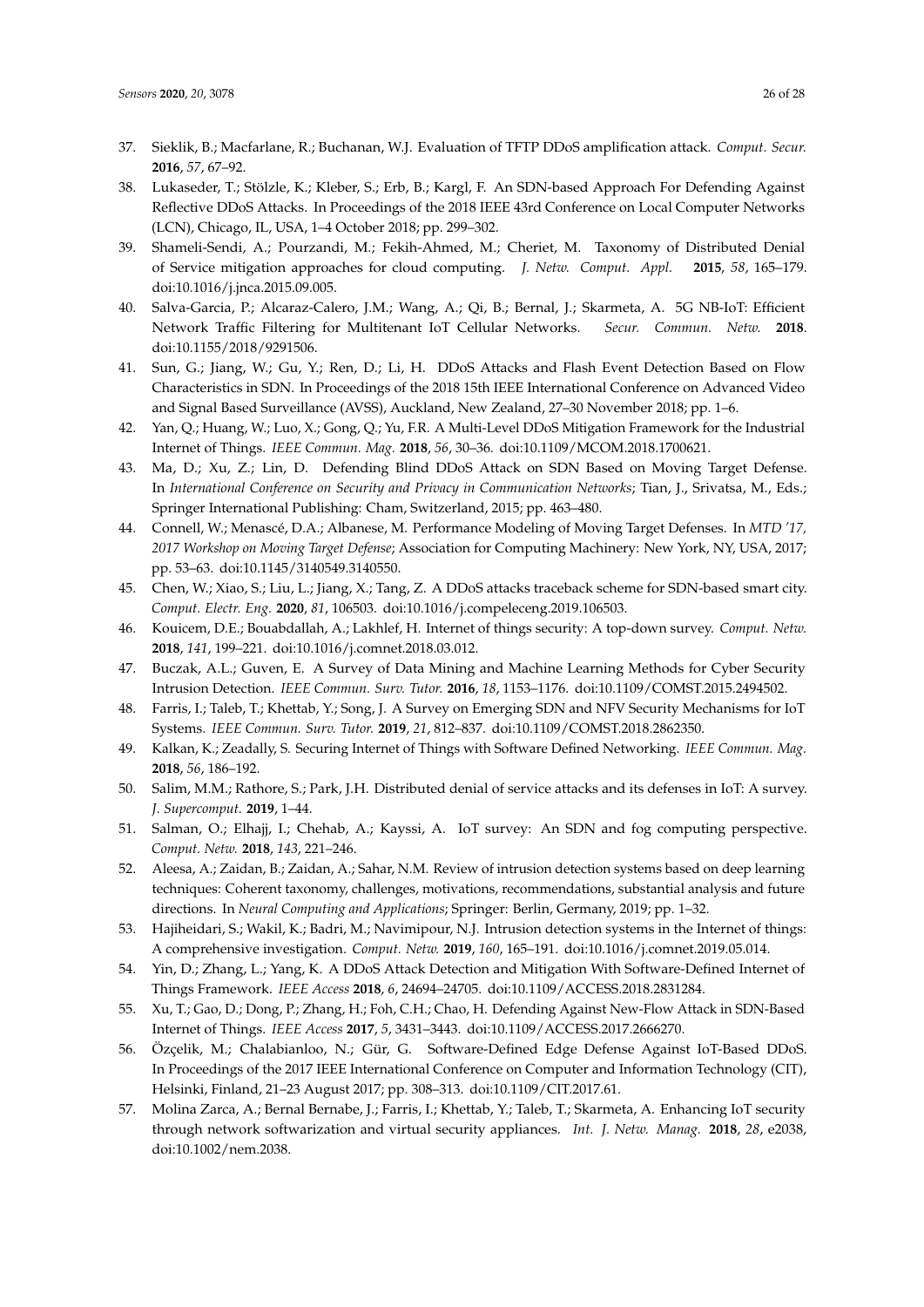- <span id="page-25-0"></span>37. Sieklik, B.; Macfarlane, R.; Buchanan, W.J. Evaluation of TFTP DDoS amplification attack. *Comput. Secur.* **2016**, *57*, 67–92.
- <span id="page-25-1"></span>38. Lukaseder, T.; Stölzle, K.; Kleber, S.; Erb, B.; Kargl, F. An SDN-based Approach For Defending Against Reflective DDoS Attacks. In Proceedings of the 2018 IEEE 43rd Conference on Local Computer Networks (LCN), Chicago, IL, USA, 1–4 October 2018; pp. 299–302.
- <span id="page-25-2"></span>39. Shameli-Sendi, A.; Pourzandi, M.; Fekih-Ahmed, M.; Cheriet, M. Taxonomy of Distributed Denial of Service mitigation approaches for cloud computing. *J. Netw. Comput. Appl.* **2015**, *58*, 165–179. doi[:10.1016/j.jnca.2015.09.005.](https://doi.org/https://doi.org/10.1016/j.jnca.2015.09.005)
- <span id="page-25-3"></span>40. Salva-Garcia, P.; Alcaraz-Calero, J.M.; Wang, A.; Qi, B.; Bernal, J.; Skarmeta, A. 5G NB-IoT: Efficient Network Traffic Filtering for Multitenant IoT Cellular Networks. *Secur. Commun. Netw.* **2018**. doi[:10.1155/2018/9291506.](https://doi.org/10.1155/2018/9291506)
- <span id="page-25-4"></span>41. Sun, G.; Jiang, W.; Gu, Y.; Ren, D.; Li, H. DDoS Attacks and Flash Event Detection Based on Flow Characteristics in SDN. In Proceedings of the 2018 15th IEEE International Conference on Advanced Video and Signal Based Surveillance (AVSS), Auckland, New Zealand, 27–30 November 2018; pp. 1–6.
- <span id="page-25-5"></span>42. Yan, Q.; Huang, W.; Luo, X.; Gong, Q.; Yu, F.R. A Multi-Level DDoS Mitigation Framework for the Industrial Internet of Things. *IEEE Commun. Mag.* **2018**, *56*, 30–36. doi[:10.1109/MCOM.2018.1700621.](https://doi.org/10.1109/MCOM.2018.1700621)
- <span id="page-25-6"></span>43. Ma, D.; Xu, Z.; Lin, D. Defending Blind DDoS Attack on SDN Based on Moving Target Defense. In *International Conference on Security and Privacy in Communication Networks*; Tian, J., Srivatsa, M., Eds.; Springer International Publishing: Cham, Switzerland, 2015; pp. 463–480.
- <span id="page-25-7"></span>44. Connell, W.; Menascé, D.A.; Albanese, M. Performance Modeling of Moving Target Defenses. In *MTD '17, 2017 Workshop on Moving Target Defense*; Association for Computing Machinery: New York, NY, USA, 2017; pp. 53–63. doi[:10.1145/3140549.3140550.](https://doi.org/10.1145/3140549.3140550)
- <span id="page-25-8"></span>45. Chen, W.; Xiao, S.; Liu, L.; Jiang, X.; Tang, Z. A DDoS attacks traceback scheme for SDN-based smart city. *Comput. Electr. Eng.* **2020**, *81*, 106503. doi[:10.1016/j.compeleceng.2019.106503.](https://doi.org/https://doi.org/10.1016/j.compeleceng.2019.106503)
- <span id="page-25-9"></span>46. Kouicem, D.E.; Bouabdallah, A.; Lakhlef, H. Internet of things security: A top-down survey. *Comput. Netw.* **2018**, *141*, 199–221. doi[:10.1016/j.comnet.2018.03.012.](https://doi.org/https://doi.org/10.1016/j.comnet.2018.03.012)
- <span id="page-25-10"></span>47. Buczak, A.L.; Guven, E. A Survey of Data Mining and Machine Learning Methods for Cyber Security Intrusion Detection. *IEEE Commun. Surv. Tutor.* **2016**, *18*, 1153–1176. doi[:10.1109/COMST.2015.2494502.](https://doi.org/10.1109/COMST.2015.2494502)
- <span id="page-25-11"></span>48. Farris, I.; Taleb, T.; Khettab, Y.; Song, J. A Survey on Emerging SDN and NFV Security Mechanisms for IoT Systems. *IEEE Commun. Surv. Tutor.* **2019**, *21*, 812–837. doi[:10.1109/COMST.2018.2862350.](https://doi.org/10.1109/COMST.2018.2862350)
- <span id="page-25-12"></span>49. Kalkan, K.; Zeadally, S. Securing Internet of Things with Software Defined Networking. *IEEE Commun. Mag.* **2018**, *56*, 186–192.
- <span id="page-25-13"></span>50. Salim, M.M.; Rathore, S.; Park, J.H. Distributed denial of service attacks and its defenses in IoT: A survey. *J. Supercomput.* **2019**, 1–44.
- <span id="page-25-14"></span>51. Salman, O.; Elhajj, I.; Chehab, A.; Kayssi, A. IoT survey: An SDN and fog computing perspective. *Comput. Netw.* **2018**, *143*, 221–246.
- <span id="page-25-15"></span>52. Aleesa, A.; Zaidan, B.; Zaidan, A.; Sahar, N.M. Review of intrusion detection systems based on deep learning techniques: Coherent taxonomy, challenges, motivations, recommendations, substantial analysis and future directions. In *Neural Computing and Applications*; Springer: Berlin, Germany, 2019; pp. 1–32.
- <span id="page-25-16"></span>53. Hajiheidari, S.; Wakil, K.; Badri, M.; Navimipour, N.J. Intrusion detection systems in the Internet of things: A comprehensive investigation. *Comput. Netw.* **2019**, *160*, 165–191. doi[:10.1016/j.comnet.2019.05.014.](https://doi.org/https://doi.org/10.1016/j.comnet.2019.05.014)
- <span id="page-25-17"></span>54. Yin, D.; Zhang, L.; Yang, K. A DDoS Attack Detection and Mitigation With Software-Defined Internet of Things Framework. *IEEE Access* **2018**, *6*, 24694–24705. doi[:10.1109/ACCESS.2018.2831284.](https://doi.org/10.1109/ACCESS.2018.2831284)
- <span id="page-25-18"></span>55. Xu, T.; Gao, D.; Dong, P.; Zhang, H.; Foh, C.H.; Chao, H. Defending Against New-Flow Attack in SDN-Based Internet of Things. *IEEE Access* **2017**, *5*, 3431–3443. doi[:10.1109/ACCESS.2017.2666270.](https://doi.org/10.1109/ACCESS.2017.2666270)
- <span id="page-25-19"></span>56. Özçelik, M.; Chalabianloo, N.; Gür, G. Software-Defined Edge Defense Against IoT-Based DDoS. In Proceedings of the 2017 IEEE International Conference on Computer and Information Technology (CIT), Helsinki, Finland, 21–23 August 2017; pp. 308–313. doi[:10.1109/CIT.2017.61.](https://doi.org/10.1109/CIT.2017.61)
- <span id="page-25-20"></span>57. Molina Zarca, A.; Bernal Bernabe, J.; Farris, I.; Khettab, Y.; Taleb, T.; Skarmeta, A. Enhancing IoT security through network softwarization and virtual security appliances. *Int. J. Netw. Manag.* **2018**, *28*, e2038, doi[:10.1002/nem.2038.](https://doi.org/10.1002/nem.2038)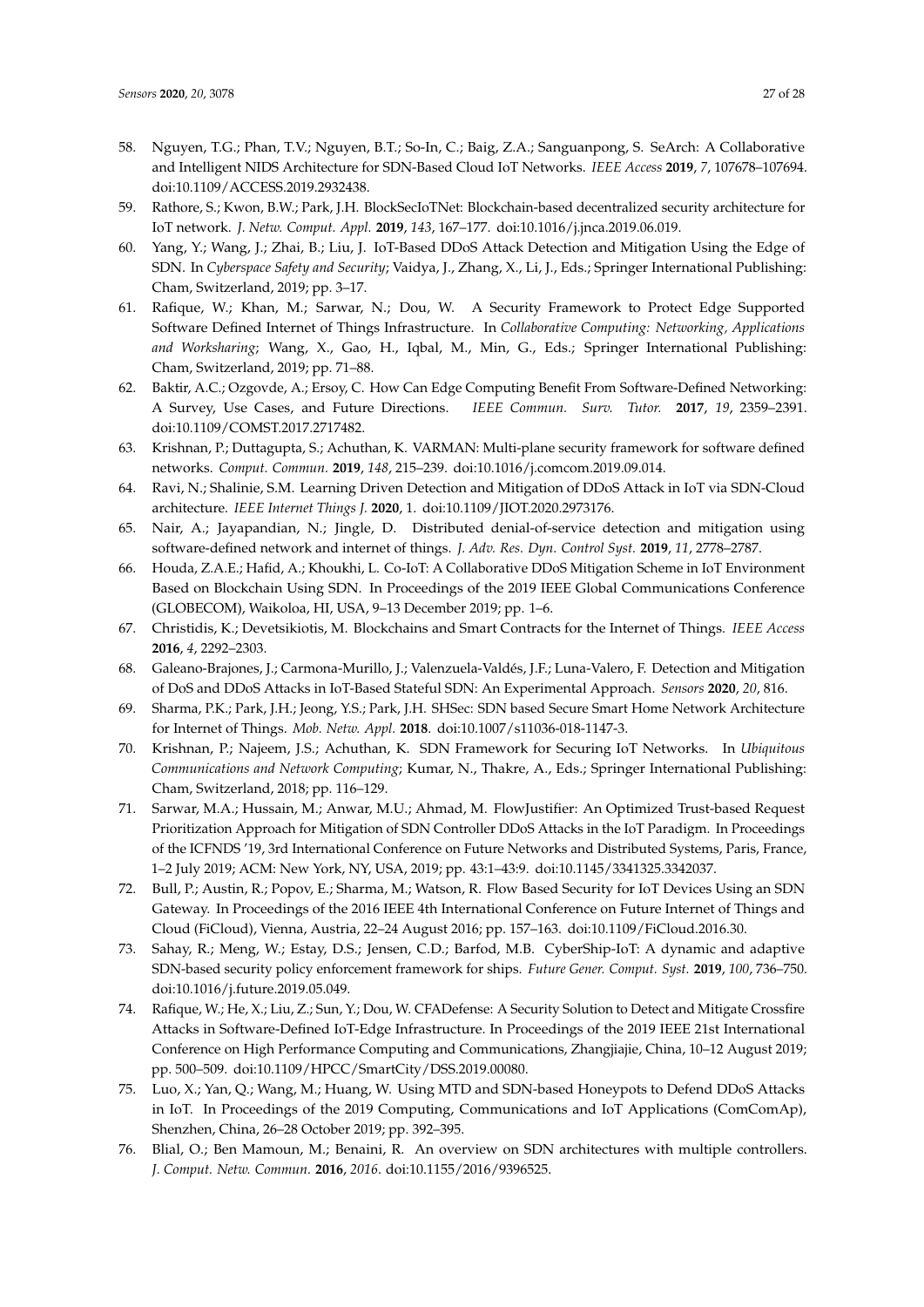- <span id="page-26-0"></span>58. Nguyen, T.G.; Phan, T.V.; Nguyen, B.T.; So-In, C.; Baig, Z.A.; Sanguanpong, S. SeArch: A Collaborative and Intelligent NIDS Architecture for SDN-Based Cloud IoT Networks. *IEEE Access* **2019**, *7*, 107678–107694. doi[:10.1109/ACCESS.2019.2932438.](https://doi.org/10.1109/ACCESS.2019.2932438)
- <span id="page-26-1"></span>59. Rathore, S.; Kwon, B.W.; Park, J.H. BlockSecIoTNet: Blockchain-based decentralized security architecture for IoT network. *J. Netw. Comput. Appl.* **2019**, *143*, 167–177. doi[:10.1016/j.jnca.2019.06.019.](https://doi.org/https://doi.org/10.1016/j.jnca.2019.06.019)
- <span id="page-26-2"></span>60. Yang, Y.; Wang, J.; Zhai, B.; Liu, J. IoT-Based DDoS Attack Detection and Mitigation Using the Edge of SDN. In *Cyberspace Safety and Security*; Vaidya, J., Zhang, X., Li, J., Eds.; Springer International Publishing: Cham, Switzerland, 2019; pp. 3–17.
- <span id="page-26-3"></span>61. Rafique, W.; Khan, M.; Sarwar, N.; Dou, W. A Security Framework to Protect Edge Supported Software Defined Internet of Things Infrastructure. In *Collaborative Computing: Networking, Applications and Worksharing*; Wang, X., Gao, H., Iqbal, M., Min, G., Eds.; Springer International Publishing: Cham, Switzerland, 2019; pp. 71–88.
- <span id="page-26-4"></span>62. Baktir, A.C.; Ozgovde, A.; Ersoy, C. How Can Edge Computing Benefit From Software-Defined Networking: A Survey, Use Cases, and Future Directions. *IEEE Commun. Surv. Tutor.* **2017**, *19*, 2359–2391. doi[:10.1109/COMST.2017.2717482.](https://doi.org/10.1109/COMST.2017.2717482)
- <span id="page-26-5"></span>63. Krishnan, P.; Duttagupta, S.; Achuthan, K. VARMAN: Multi-plane security framework for software defined networks. *Comput. Commun.* **2019**, *148*, 215–239. doi[:10.1016/j.comcom.2019.09.014.](https://doi.org/https://doi.org/10.1016/j.comcom.2019.09.014)
- <span id="page-26-6"></span>64. Ravi, N.; Shalinie, S.M. Learning Driven Detection and Mitigation of DDoS Attack in IoT via SDN-Cloud architecture. *IEEE Internet Things J.* **2020**, 1. doi[:10.1109/JIOT.2020.2973176.](https://doi.org/10.1109/JIOT.2020.2973176)
- <span id="page-26-7"></span>65. Nair, A.; Jayapandian, N.; Jingle, D. Distributed denial-of-service detection and mitigation using software-defined network and internet of things. *J. Adv. Res. Dyn. Control Syst.* **2019**, *11*, 2778–2787.
- <span id="page-26-8"></span>66. Houda, Z.A.E.; Hafid, A.; Khoukhi, L. Co-IoT: A Collaborative DDoS Mitigation Scheme in IoT Environment Based on Blockchain Using SDN. In Proceedings of the 2019 IEEE Global Communications Conference (GLOBECOM), Waikoloa, HI, USA, 9–13 December 2019; pp. 1–6.
- <span id="page-26-9"></span>67. Christidis, K.; Devetsikiotis, M. Blockchains and Smart Contracts for the Internet of Things. *IEEE Access* **2016**, *4*, 2292–2303.
- <span id="page-26-10"></span>68. Galeano-Brajones, J.; Carmona-Murillo, J.; Valenzuela-Valdés, J.F.; Luna-Valero, F. Detection and Mitigation of DoS and DDoS Attacks in IoT-Based Stateful SDN: An Experimental Approach. *Sensors* **2020**, *20*, 816.
- <span id="page-26-11"></span>69. Sharma, P.K.; Park, J.H.; Jeong, Y.S.; Park, J.H. SHSec: SDN based Secure Smart Home Network Architecture for Internet of Things. *Mob. Netw. Appl.* **2018**. doi[:10.1007/s11036-018-1147-3.](https://doi.org/10.1007/s11036-018-1147-3)
- <span id="page-26-12"></span>70. Krishnan, P.; Najeem, J.S.; Achuthan, K. SDN Framework for Securing IoT Networks. In *Ubiquitous Communications and Network Computing*; Kumar, N., Thakre, A., Eds.; Springer International Publishing: Cham, Switzerland, 2018; pp. 116–129.
- <span id="page-26-13"></span>71. Sarwar, M.A.; Hussain, M.; Anwar, M.U.; Ahmad, M. FlowJustifier: An Optimized Trust-based Request Prioritization Approach for Mitigation of SDN Controller DDoS Attacks in the IoT Paradigm. In Proceedings of the ICFNDS '19, 3rd International Conference on Future Networks and Distributed Systems, Paris, France, 1–2 July 2019; ACM: New York, NY, USA, 2019; pp. 43:1–43:9. doi[:10.1145/3341325.3342037.](https://doi.org/10.1145/3341325.3342037)
- <span id="page-26-14"></span>72. Bull, P.; Austin, R.; Popov, E.; Sharma, M.; Watson, R. Flow Based Security for IoT Devices Using an SDN Gateway. In Proceedings of the 2016 IEEE 4th International Conference on Future Internet of Things and Cloud (FiCloud), Vienna, Austria, 22–24 August 2016; pp. 157–163. doi[:10.1109/FiCloud.2016.30.](https://doi.org/10.1109/FiCloud.2016.30)
- <span id="page-26-15"></span>73. Sahay, R.; Meng, W.; Estay, D.S.; Jensen, C.D.; Barfod, M.B. CyberShip-IoT: A dynamic and adaptive SDN-based security policy enforcement framework for ships. *Future Gener. Comput. Syst.* **2019**, *100*, 736–750. doi[:10.1016/j.future.2019.05.049.](https://doi.org/https://doi.org/10.1016/j.future.2019.05.049)
- <span id="page-26-16"></span>74. Rafique, W.; He, X.; Liu, Z.; Sun, Y.; Dou, W. CFADefense: A Security Solution to Detect and Mitigate Crossfire Attacks in Software-Defined IoT-Edge Infrastructure. In Proceedings of the 2019 IEEE 21st International Conference on High Performance Computing and Communications, Zhangjiajie, China, 10–12 August 2019; pp. 500–509. doi[:10.1109/HPCC/SmartCity/DSS.2019.00080.](https://doi.org/10.1109/HPCC/SmartCity/DSS.2019.00080)
- <span id="page-26-17"></span>75. Luo, X.; Yan, Q.; Wang, M.; Huang, W. Using MTD and SDN-based Honeypots to Defend DDoS Attacks in IoT. In Proceedings of the 2019 Computing, Communications and IoT Applications (ComComAp), Shenzhen, China, 26–28 October 2019; pp. 392–395.
- <span id="page-26-18"></span>76. Blial, O.; Ben Mamoun, M.; Benaini, R. An overview on SDN architectures with multiple controllers. *J. Comput. Netw. Commun.* **2016**, *2016*. doi[:10.1155/2016/9396525.](https://doi.org/10.1155/2016/9396525)